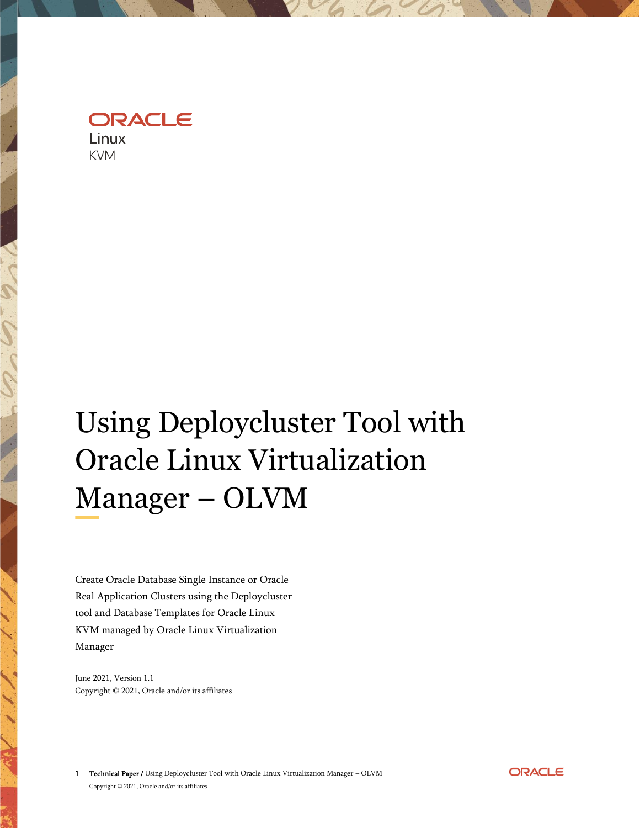ORACLE Linux

**KVM** 

# Using Deploycluster Tool with Oracle Linux Virtualization Manager – OLVM

Create Oracle Database Single Instance or Oracle Real Application Clusters using the Deploycluster tool and Database Templates for Oracle Linux KVM managed by Oracle Linux Virtualization Manager

June 2021, Version 1.1 Copyright © 2021, Oracle and/or its affiliates

1 Technical Paper / Using Deploycluster Tool with Oracle Linux Virtualization Manager – OLVM Copyright © 2021, Oracle and/or its affiliates

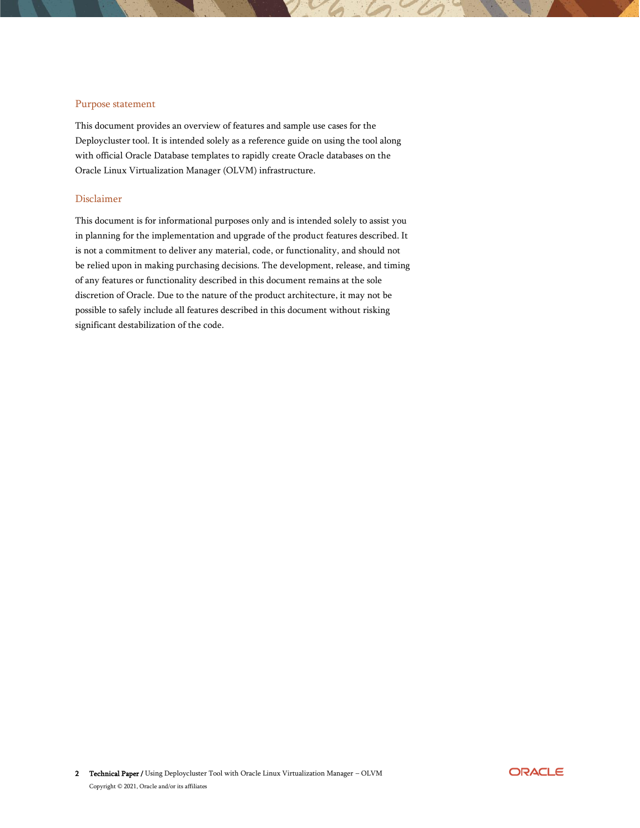#### <span id="page-1-0"></span>Purpose statement

This document provides an overview of features and sample use cases for the Deploycluster tool. It is intended solely as a reference guide on using the tool along with official Oracle Database templates to rapidly create Oracle databases on the Oracle Linux Virtualization Manager (OLVM) infrastructure.

#### <span id="page-1-1"></span>Disclaimer

This document is for informational purposes only and is intended solely to assist you in planning for the implementation and upgrade of the product features described. It is not a commitment to deliver any material, code, or functionality, and should not be relied upon in making purchasing decisions. The development, release, and timing of any features or functionality described in this document remains at the sole discretion of Oracle. Due to the nature of the product architecture, it may not be possible to safely include all features described in this document without risking significant destabilization of the code.

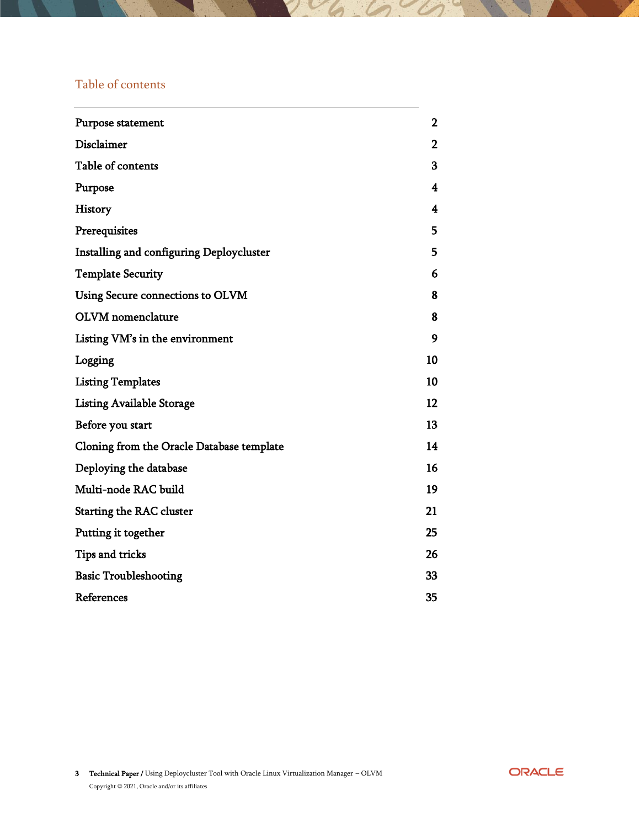## <span id="page-2-0"></span>Table of contents

| Purpose statement                         | $\mathbf{2}$ |
|-------------------------------------------|--------------|
| Disclaimer                                | 2            |
| Table of contents                         | 3            |
| Purpose                                   | 4            |
| History                                   | 4            |
| Prerequisites                             | 5            |
| Installing and configuring Deploycluster  | 5            |
| <b>Template Security</b>                  | 6            |
| Using Secure connections to OLVM          | 8            |
| <b>OLVM</b> nomenclature                  | 8            |
| Listing VM's in the environment           | 9            |
| Logging                                   | 10           |
| <b>Listing Templates</b>                  | 10           |
| <b>Listing Available Storage</b>          | 12           |
| Before you start                          | 13           |
| Cloning from the Oracle Database template | 14           |
| Deploying the database                    | 16           |
| Multi-node RAC build                      | 19           |
| <b>Starting the RAC cluster</b>           | 21           |
| Putting it together                       | 25           |
| Tips and tricks                           | 26           |
| <b>Basic Troubleshooting</b>              | 33           |
| References                                | 35           |

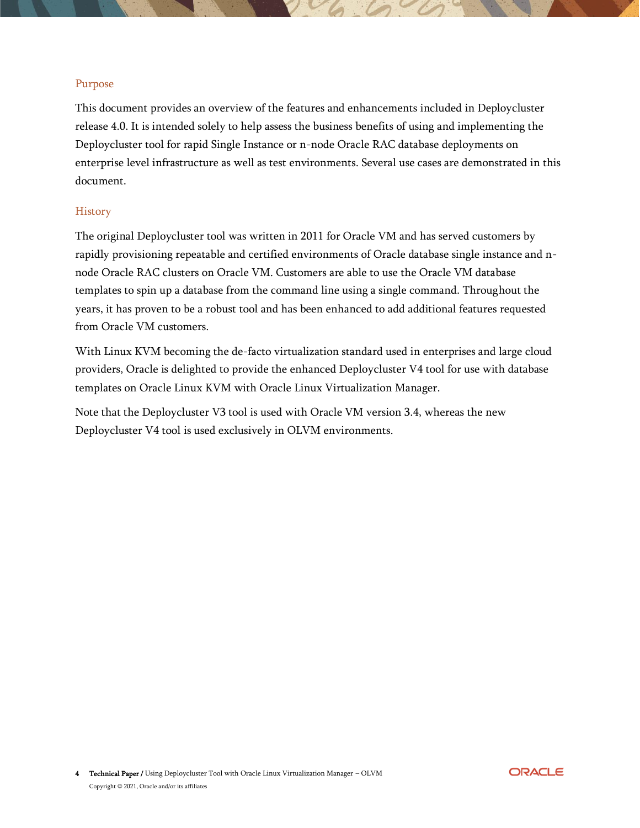#### <span id="page-3-0"></span>Purpose

This document provides an overview of the features and enhancements included in Deploycluster release 4.0. It is intended solely to help assess the business benefits of using and implementing the Deploycluster tool for rapid Single Instance or n-node Oracle RAC database deployments on enterprise level infrastructure as well as test environments. Several use cases are demonstrated in this document.

#### <span id="page-3-1"></span>**History**

The original Deploycluster tool was written in 2011 for Oracle VM and has served customers by rapidly provisioning repeatable and certified environments of Oracle database single instance and nnode Oracle RAC clusters on Oracle VM. Customers are able to use the Oracle VM database templates to spin up a database from the command line using a single command. Throughout the years, it has proven to be a robust tool and has been enhanced to add additional features requested from Oracle VM customers.

With Linux KVM becoming the de-facto virtualization standard used in enterprises and large cloud providers, Oracle is delighted to provide the enhanced Deploycluster V4 tool for use with database templates on Oracle Linux KVM with Oracle Linux Virtualization Manager.

Note that the Deploycluster V3 tool is used with Oracle VM version 3.4, whereas the new Deploycluster V4 tool is used exclusively in OLVM environments.

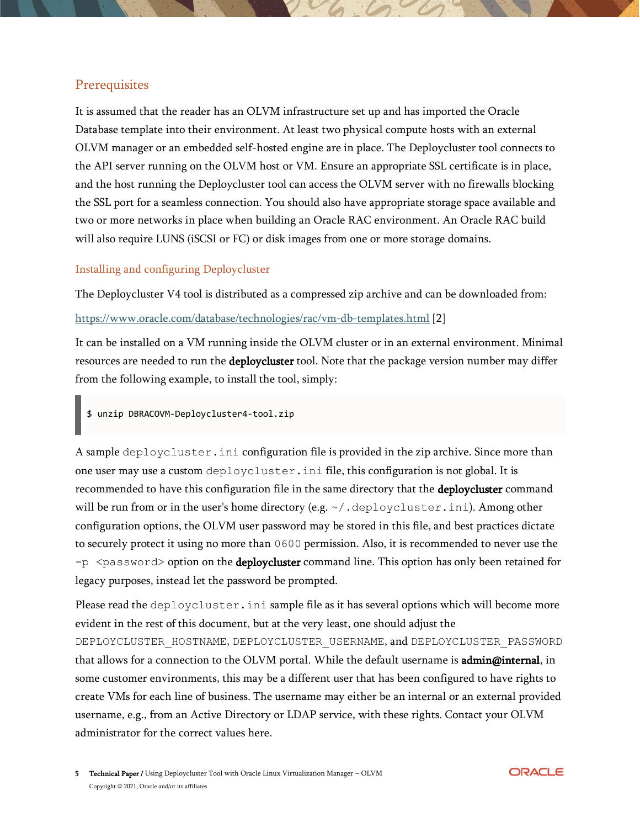## <span id="page-4-0"></span>**Prerequisites**

It is assumed that the reader has an OLVM infrastructure set up and has imported the Oracle Database template into their environment. At least two physical compute hosts with an external OLVM manager or an embedded self-hosted engine are in place. The Deploycluster tool connects to the API server running on the OLVM host or VM. Ensure an appropriate SSL certificate is in place, and the host running the Deploycluster tool can access the OLVM server with no firewalls blocking the SSL port for a seamless connection. You should also have appropriate storage space available and two or more networks in place when building an Oracle RAC environment. An Oracle RAC build will also require LUNS (iSCSI or FC) or disk images from one or more storage domains.

#### <span id="page-4-1"></span>Installing and configuring Deploycluster

The Deploycluster V4 tool is distributed as a compressed zip archive and can be downloaded from:

#### <https://www.oracle.com/database/technologies/rac/vm-db-templates.html> [2]

It can be installed on a VM running inside the OLVM cluster or in an external environment. Minimal resources are needed to run the deploycluster tool. Note that the package version number may differ from the following example, to install the tool, simply:

\$ unzip DBRACOVM-Deploycluster4-tool.zip

A sample deploycluster.ini configuration file is provided in the zip archive. Since more than one user may use a custom deploycluster.ini file, this configuration is not global. It is recommended to have this configuration file in the same directory that the deploycluster command will be run from or in the user's home directory (e.g.  $\sim/$  . deploycluster. ini). Among other configuration options, the OLVM user password may be stored in this file, and best practices dictate to securely protect it using no more than 0600 permission. Also, it is recommended to never use the  $-p \leq p$  assword option on the **deploycluster** command line. This option has only been retained for legacy purposes, instead let the password be prompted.

Please read the deploycluster. ini sample file as it has several options which will become more evident in the rest of this document, but at the very least, one should adjust the DEPLOYCLUSTER\_HOSTNAME, DEPLOYCLUSTER\_USERNAME, and DEPLOYCLUSTER\_PASSWORD that allows for a connection to the OLVM portal. While the default username is **admin@internal**, in some customer environments, this may be a different user that has been configured to have rights to create VMs for each line of business. The username may either be an internal or an external provided username, e.g., from an Active Directory or LDAP service, with these rights. Contact your OLVM administrator for the correct values here.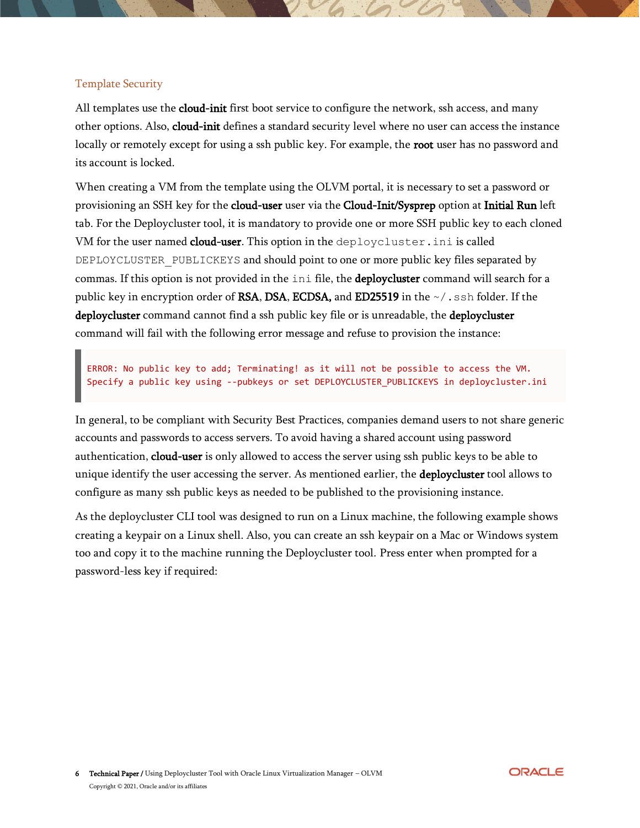## <span id="page-5-0"></span>Template Security

All templates use the cloud-init first boot service to configure the network, ssh access, and many other options. Also, cloud-init defines a standard security level where no user can access the instance locally or remotely except for using a ssh public key. For example, the root user has no password and its account is locked.

When creating a VM from the template using the OLVM portal, it is necessary to set a password or provisioning an SSH key for the cloud-user user via the Cloud-Init/Sysprep option at Initial Run left tab. For the Deploycluster tool, it is mandatory to provide one or more SSH public key to each cloned VM for the user named cloud-user. This option in the deploycluster. ini is called DEPLOYCLUSTER PUBLICKEYS and should point to one or more public key files separated by commas. If this option is not provided in the ini file, the deploycluster command will search for a public key in encryption order of RSA, DSA, ECDSA, and ED25519 in the  $\sim/$ . ssh folder. If the deploycluster command cannot find a ssh public key file or is unreadable, the deploycluster command will fail with the following error message and refuse to provision the instance:

ERROR: No public key to add; Terminating! as it will not be possible to access the VM. Specify a public key using --pubkeys or set DEPLOYCLUSTER\_PUBLICKEYS in deploycluster.ini

In general, to be compliant with Security Best Practices, companies demand users to not share generic accounts and passwords to access servers. To avoid having a shared account using password authentication, cloud-user is only allowed to access the server using ssh public keys to be able to unique identify the user accessing the server. As mentioned earlier, the **deploycluster** tool allows to configure as many ssh public keys as needed to be published to the provisioning instance.

As the deploycluster CLI tool was designed to run on a Linux machine, the following example shows creating a keypair on a Linux shell. Also, you can create an ssh keypair on a Mac or Windows system too and copy it to the machine running the Deploycluster tool. Press enter when prompted for a password-less key if required:

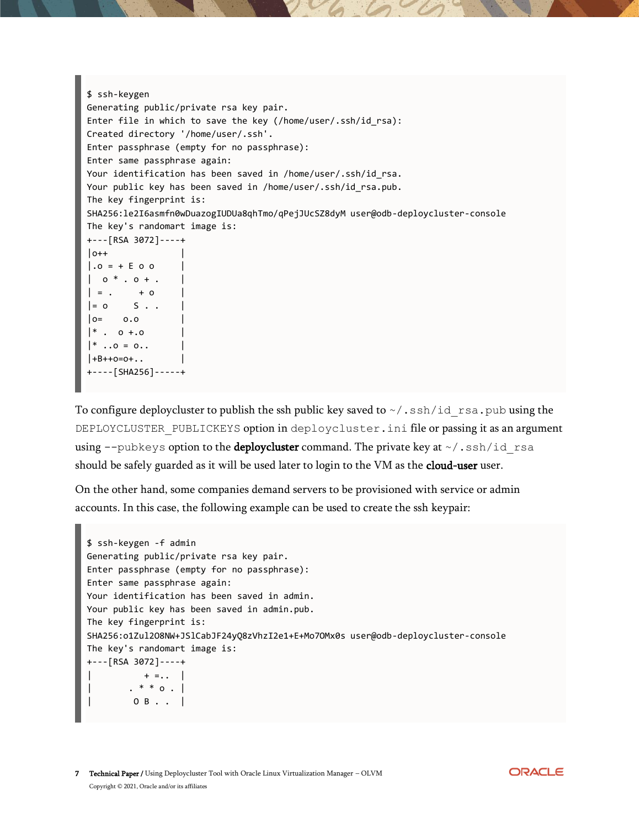```
$ ssh-keygen
Generating public/private rsa key pair.
Enter file in which to save the key (/home/user/.ssh/id_rsa):
Created directory '/home/user/.ssh'.
Enter passphrase (empty for no passphrase):
Enter same passphrase again:
Your identification has been saved in /home/user/.ssh/id rsa.
Your public key has been saved in /home/user/.ssh/id rsa.pub.
The key fingerprint is:
SHA256:le2I6asmfn0wDuazogIUDUa8qhTmo/qPejJUcSZ8dyM user@odb-deploycluster-console
The key's randomart image is:
+---[RSA 3072]----+
|o++.0 = + E 0 0| 0 * . 0 + .| = . + 0
|= 0 S \cdot .|o= 0.0
| * . 0 +.0
| * \dots 0 = 0...|+B++o=0+...+----[SHA256]-----+
```
To configure deploycluster to publish the ssh public key saved to  $\sim/$ . ssh/id rsa.pub using the DEPLOYCLUSTER PUBLICKEYS option in deploycluster.ini file or passing it as an argument using  $-\text{pubkeys}$  option to the **deploycluster** command. The private key at  $\sim$  /.ssh/id rsa should be safely guarded as it will be used later to login to the VM as the cloud-user user.

On the other hand, some companies demand servers to be provisioned with service or admin accounts. In this case, the following example can be used to create the ssh keypair:

```
$ ssh-keygen -f admin
Generating public/private rsa key pair.
Enter passphrase (empty for no passphrase):
Enter same passphrase again:
Your identification has been saved in admin.
Your public key has been saved in admin.pub.
The key fingerprint is:
SHA256:o1Zul2O8NW+JSlCabJF24yQ8zVhzI2e1+E+Mo7OMx0s user@odb-deploycluster-console
The key's randomart image is:
+---[RSA 3072]----+
| + = . . . || . * * o . |
| O B . . |
```
**ORACLE**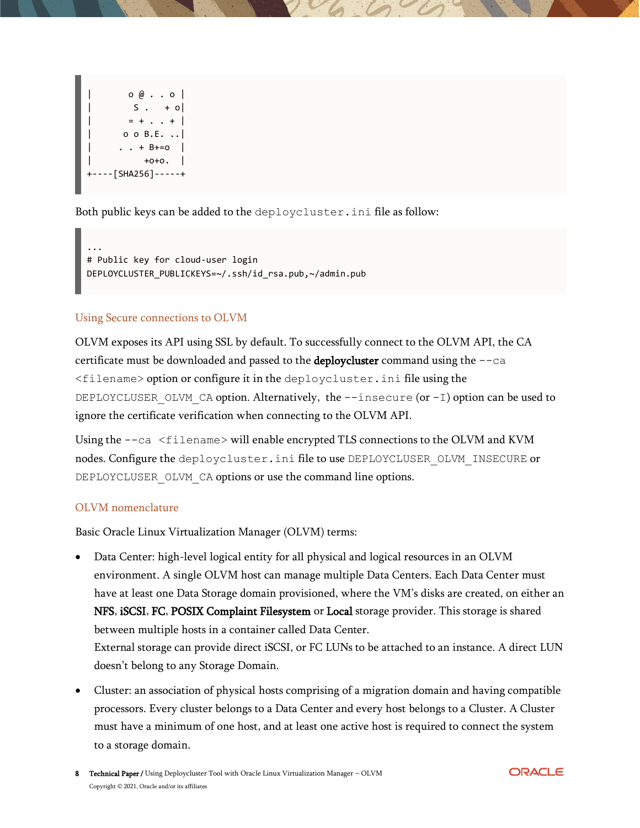$\circ$   $\circ$  . .  $\circ$  |  $S \cdot + o$  $= + . . . +$  $\circ$   $\circ$   $B.E.$   $\ldots$  $\cdot$   $\cdot$  + B+=0 |  $+0+0.$ +----[SHA256]-----+

Both public keys can be added to the deploycluster.ini file as follow:

... # Public key for cloud-user login DEPLOYCLUSTER\_PUBLICKEYS=~/.ssh/id\_rsa.pub,~/admin.pub

#### <span id="page-7-0"></span>Using Secure connections to OLVM

OLVM exposes its API using SSL by default. To successfully connect to the OLVM API, the CA certificate must be downloaded and passed to the deploycluster command using the --ca <filename> option or configure it in the deploycluster.ini file using the DEPLOYCLUSER\_OLVM\_CA option. Alternatively, the  $-\text{-}$ insecure (or  $-\text{I}$ ) option can be used to ignore the certificate verification when connecting to the OLVM API.

Using the  $--ca$  <filename> will enable encrypted TLS connections to the OLVM and KVM nodes. Configure the deploycluster.ini file to use DEPLOYCLUSER\_OLVM\_INSECURE or DEPLOYCLUSER OLVM CA options or use the command line options.

#### <span id="page-7-1"></span>OLVM nomenclature

Basic Oracle Linux Virtualization Manager (OLVM) terms:

- Data Center: high-level logical entity for all physical and logical resources in an OLVM environment. A single OLVM host can manage multiple Data Centers. Each Data Center must have at least one Data Storage domain provisioned, where the VM's disks are created, on either an NFS, iSCSI, FC, POSIX Complaint Filesystem or Local storage provider. This storage is shared between multiple hosts in a container called Data Center. External storage can provide direct iSCSI, or FC LUNs to be attached to an instance. A direct LUN doesn't belong to any Storage Domain.
- Cluster: an association of physical hosts comprising of a migration domain and having compatible processors. Every cluster belongs to a Data Center and every host belongs to a Cluster. A Cluster must have a minimum of one host, and at least one active host is required to connect the system to a storage domain.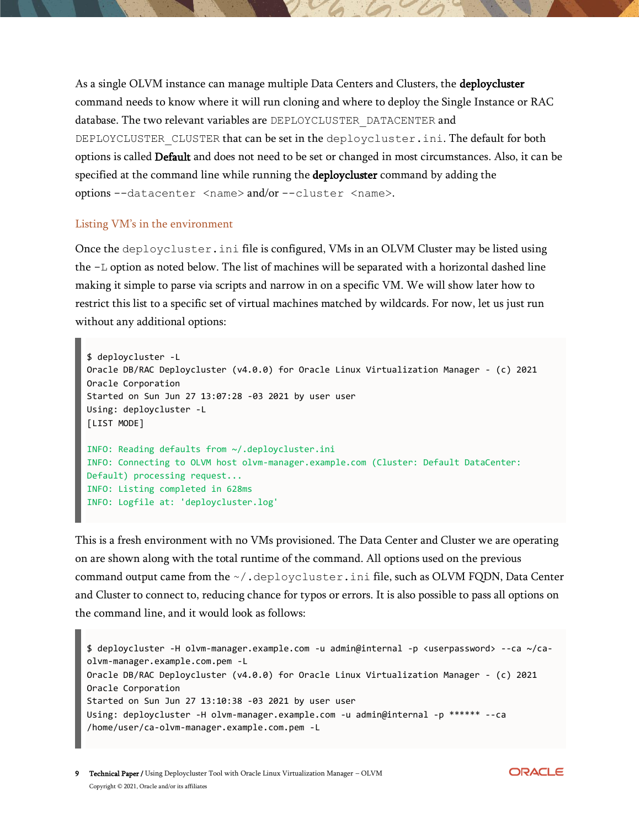As a single OLVM instance can manage multiple Data Centers and Clusters, the deploycluster command needs to know where it will run cloning and where to deploy the Single Instance or RAC database. The two relevant variables are DEPLOYCLUSTER\_DATACENTER and DEPLOYCLUSTER CLUSTER that can be set in the deploycluster.ini. The default for both options is called Default and does not need to be set or changed in most circumstances. Also, it can be specified at the command line while running the **deploycluster** command by adding the options --datacenter <name> and/or --cluster <name>.

#### <span id="page-8-0"></span>Listing VM's in the environment

Once the deploycluster.ini file is configured, VMs in an OLVM Cluster may be listed using the -L option as noted below. The list of machines will be separated with a horizontal dashed line making it simple to parse via scripts and narrow in on a specific VM. We will show later how to restrict this list to a specific set of virtual machines matched by wildcards. For now, let us just run without any additional options:

```
$ deploycluster -L
Oracle DB/RAC Deploycluster (v4.0.0) for Oracle Linux Virtualization Manager - (c) 2021 
Oracle Corporation
Started on Sun Jun 27 13:07:28 -03 2021 by user user
Using: deploycluster -L
[LIST MODE]
INFO: Reading defaults from ~/.deploycluster.ini
INFO: Connecting to OLVM host olvm-manager.example.com (Cluster: Default DataCenter: 
Default) processing request...
INFO: Listing completed in 628ms
INFO: Logfile at: 'deploycluster.log'
```
This is a fresh environment with no VMs provisioned. The Data Center and Cluster we are operating on are shown along with the total runtime of the command. All options used on the previous command output came from the  $\sim/$ .deploycluster.ini file, such as OLVM FQDN, Data Center and Cluster to connect to, reducing chance for typos or errors. It is also possible to pass all options on the command line, and it would look as follows:

```
$ deploycluster -H olvm-manager.example.com -u admin@internal -p <userpassword> --ca ~/ca-
olvm-manager.example.com.pem -L
Oracle DB/RAC Deploycluster (v4.0.0) for Oracle Linux Virtualization Manager - (c) 2021 
Oracle Corporation
Started on Sun Jun 27 13:10:38 -03 2021 by user user
Using: deploycluster -H olvm-manager.example.com -u admin@internal -p ****** --ca 
/home/user/ca-olvm-manager.example.com.pem -L
```
**ORACLE**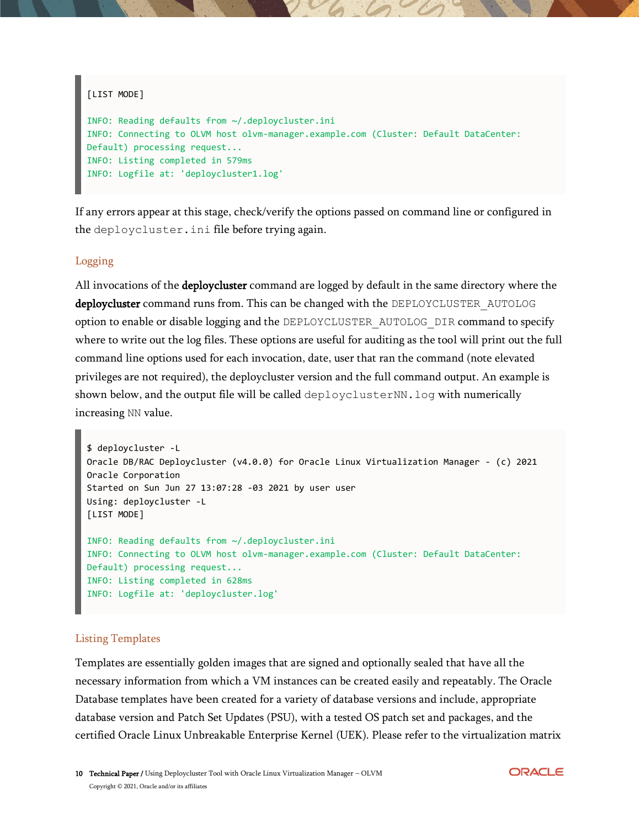```
[LIST MODE]
INFO: Reading defaults from ~/.deploycluster.ini
INFO: Connecting to OLVM host olvm-manager.example.com (Cluster: Default DataCenter: 
Default) processing request...
INFO: Listing completed in 579ms
INFO: Logfile at: 'deploycluster1.log'
```
If any errors appear at this stage, check/verify the options passed on command line or configured in the deploycluster.ini file before trying again.

#### <span id="page-9-0"></span>Logging

All invocations of the **deploycluster** command are logged by default in the same directory where the deploycluster command runs from. This can be changed with the DEPLOYCLUSTER AUTOLOG option to enable or disable logging and the DEPLOYCLUSTER\_AUTOLOG\_DIR command to specify where to write out the log files. These options are useful for auditing as the tool will print out the full command line options used for each invocation, date, user that ran the command (note elevated privileges are not required), the deploycluster version and the full command output. An example is shown below, and the output file will be called deployclusterNN. log with numerically increasing NN value.

```
$ deploycluster -L
Oracle DB/RAC Deploycluster (v4.0.0) for Oracle Linux Virtualization Manager - (c) 2021 
Oracle Corporation
Started on Sun Jun 27 13:07:28 -03 2021 by user user
Using: deploycluster -L
[LIST MODE]
INFO: Reading defaults from ~/.deploycluster.ini
INFO: Connecting to OLVM host olvm-manager.example.com (Cluster: Default DataCenter: 
Default) processing request...
INFO: Listing completed in 628ms
INFO: Logfile at: 'deploycluster.log'
```
#### <span id="page-9-1"></span>Listing Templates

Templates are essentially golden images that are signed and optionally sealed that have all the necessary information from which a VM instances can be created easily and repeatably. The Oracle Database templates have been created for a variety of database versions and include, appropriate database version and Patch Set Updates (PSU), with a tested OS patch set and packages, and the certified Oracle Linux Unbreakable Enterprise Kernel (UEK). Please refer to the virtualization matrix

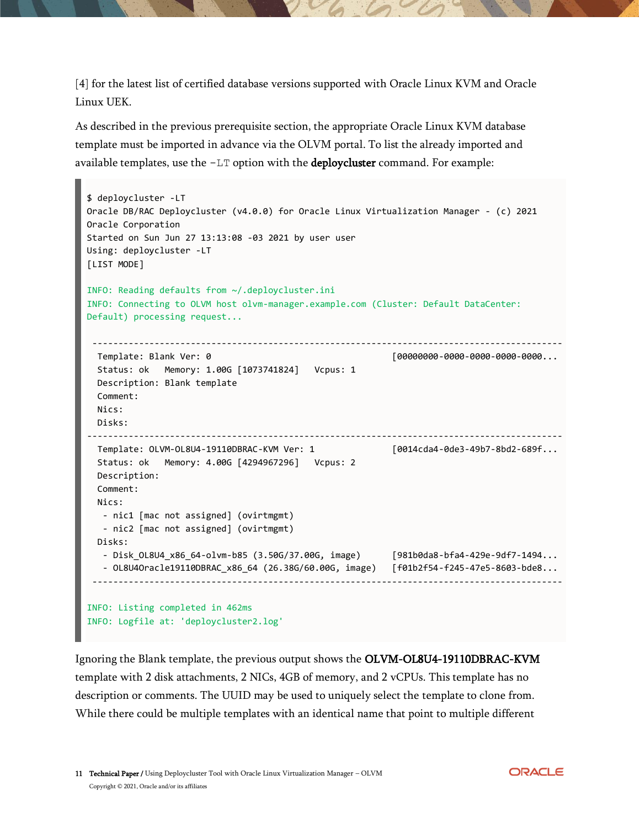[4] for the latest list of certified database versions supported with Oracle Linux KVM and Oracle Linux UEK.

As described in the previous prerequisite section, the appropriate Oracle Linux KVM database template must be imported in advance via the OLVM portal. To list the already imported and available templates, use the -LT option with the deploycluster command. For example:

```
$ deploycluster -LT
Oracle DB/RAC Deploycluster (v4.0.0) for Oracle Linux Virtualization Manager - (c) 2021 
Oracle Corporation
Started on Sun Jun 27 13:13:08 -03 2021 by user user
Using: deploycluster -LT
[LIST MODE]
INFO: Reading defaults from ~/.deploycluster.ini
INFO: Connecting to OLVM host olvm-manager.example.com (Cluster: Default DataCenter: 
Default) processing request...
 -------------------------------------------------------------------------------------------
 Template: Blank Ver: 0 blank 1999 and 1999 and 1999 and 1999 and 1999 and 1999 and 1999 and 1999 and 1999 and 1
   Status: ok Memory: 1.00G [1073741824] Vcpus: 1
   Description: Blank template 
   Comment:
   Nics: 
   Disks: 
--------------------------------------------------------------------------------------------
  Template: OLVM-0L8U4-19110DBRAC-KVM Ver: 1 [0014cda4-0de3-49b7-8bd2-689f...
   Status: ok Memory: 4.00G [4294967296] Vcpus: 2 
   Description: 
   Comment: 
   Nics: 
   - nic1 [mac not assigned] (ovirtmgmt) 
   - nic2 [mac not assigned] (ovirtmgmt) 
  Disks: 
   - Disk_OL8U4_x86_64-olvm-b85 (3.50G/37.00G, image) [981b0da8-bfa4-429e-9df7-1494...
    - OL8U4Oracle19110DBRAC_x86_64 (26.38G/60.00G, image) [f01b2f54-f245-47e5-8603-bde8...
 -------------------------------------------------------------------------------------------
INFO: Listing completed in 462ms
INFO: Logfile at: 'deploycluster2.log'
```
Ignoring the Blank template, the previous output shows the OLVM-OL8U4-19110DBRAC-KVM template with 2 disk attachments, 2 NICs, 4GB of memory, and 2 vCPUs. This template has no description or comments. The UUID may be used to uniquely select the template to clone from. While there could be multiple templates with an identical name that point to multiple different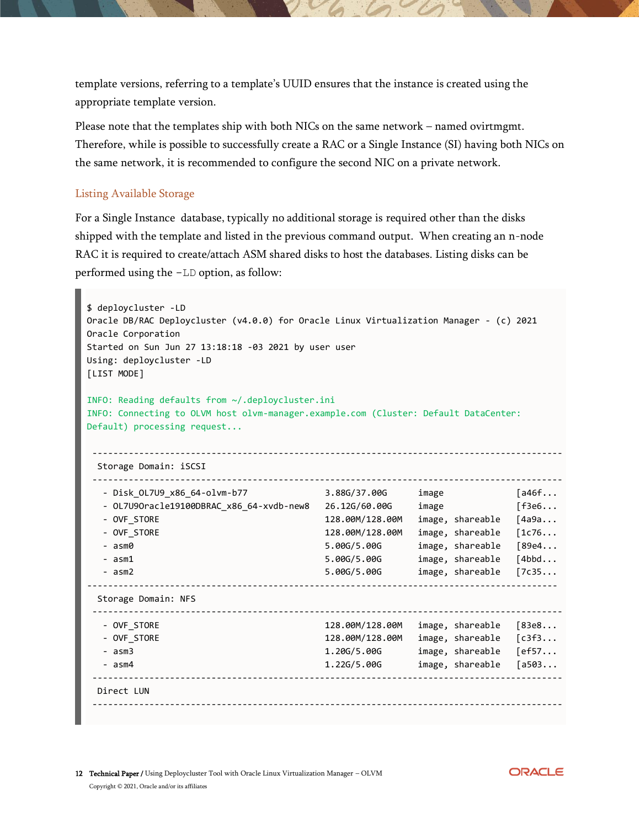template versions, referring to a template's UUID ensures that the instance is created using the appropriate template version.

Please note that the templates ship with both NICs on the same network – named ovirtmgmt. Therefore, while is possible to successfully create a RAC or a Single Instance (SI) having both NICs on the same network, it is recommended to configure the second NIC on a private network.

#### <span id="page-11-0"></span>Listing Available Storage

For a Single Instance database, typically no additional storage is required other than the disks shipped with the template and listed in the previous command output. When creating an n-node RAC it is required to create/attach ASM shared disks to host the databases. Listing disks can be performed using the -LD option, as follow:

```
$ deploycluster -LD
Oracle DB/RAC Deploycluster (v4.0.0) for Oracle Linux Virtualization Manager - (c) 2021 
Oracle Corporation
Started on Sun Jun 27 13:18:18 -03 2021 by user user
Using: deploycluster -LD
[LIST MODE]
INFO: Reading defaults from ~/.deploycluster.ini
INFO: Connecting to OLVM host olvm-manager.example.com (Cluster: Default DataCenter: 
Default) processing request...
                       -------------------------------------------------------------------------------------------
  Storage Domain: iSCSI
-------------------------------------------------------------------------------------------
  - Disk_OL7U9_x86_64-olvm-b77         3.88G/37.00G    image
  - OL7U9Oracle19100DBRAC_x86_64-xvdb-new8 26.12G/60.00G image
   - OVF_STORE 128.00M/128.00M image, shareable [4a9a...
   - OVF_STORE 128.00M/128.00M image, shareable [1c76...
   - asm0 5.00G/5.00G image, shareable [89e4...
   - asm1 5.00G/5.00G image, shareable [4bbd...
   - asm2 5.00G/5.00G image, shareable [7c35...
-------------------------------------------------------------------------------------------
  Storage Domain: NFS
 -------------------------------------------------------------------------------------------
  - OVF STORE 128.00M/128.00M image, shareable [83e8...
   - OVF_STORE 128.00M/128.00M image, shareable [c3f3...
   - asm3 1.20G/5.00G image, shareable [ef57...
   - asm4 1.22G/5.00G image, shareable [a503...
 -------------------------------------------------------------------------------------------
  Direct LUN
 -------------------------------------------------------------------------------------------
```
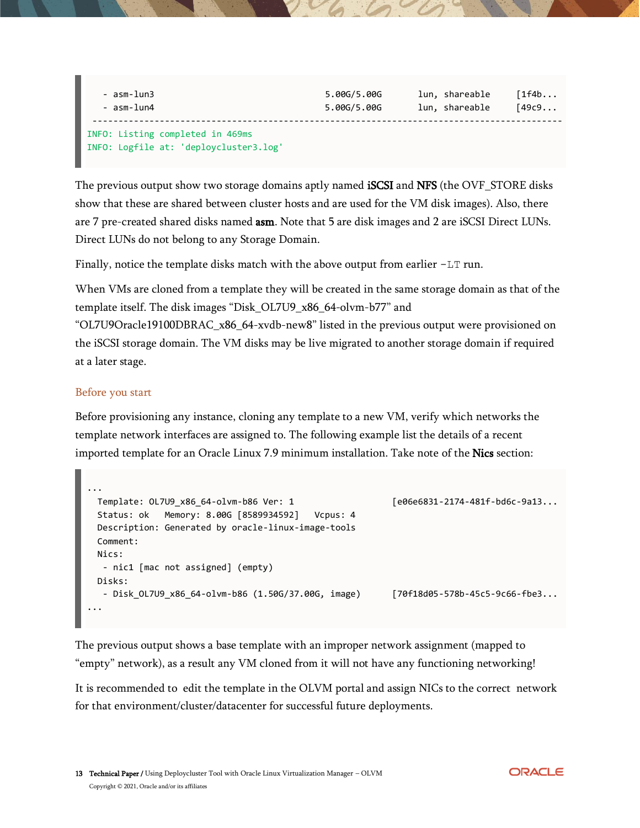| - asm-lun3                                                                 | 5.00G/5.00G | lun, shareable | [1f4b  |
|----------------------------------------------------------------------------|-------------|----------------|--------|
| - asm-lun4                                                                 | 5.00G/5.00G | lun, shareable | [49c9] |
| INFO: Listing completed in 469ms<br>INFO: Logfile at: 'deploycluster3.log' |             |                |        |

The previous output show two storage domains aptly named **iSCSI** and **NFS** (the OVF\_STORE disks show that these are shared between cluster hosts and are used for the VM disk images). Also, there are 7 pre-created shared disks named asm. Note that 5 are disk images and 2 are iSCSI Direct LUNs. Direct LUNs do not belong to any Storage Domain.

Finally, notice the template disks match with the above output from earlier -LT run.

When VMs are cloned from a template they will be created in the same storage domain as that of the template itself. The disk images "Disk\_OL7U9\_x86\_64-olvm-b77" and

"OL7U9Oracle19100DBRAC\_x86\_64-xvdb-new8" listed in the previous output were provisioned on the iSCSI storage domain. The VM disks may be live migrated to another storage domain if required at a later stage.

#### <span id="page-12-0"></span>Before you start

Before provisioning any instance, cloning any template to a new VM, verify which networks the template network interfaces are assigned to. The following example list the details of a recent imported template for an Oracle Linux 7.9 minimum installation. Take note of the Nics section:

```
...
 Template: OL7U9 x86 64-olvm-b86 Ver: 1 [e06e6831-2174-481f-bd6c-9a13...
  Status: ok Memory: 8.00G [8589934592] Vcpus: 4 
  Description: Generated by oracle-linux-image-tools 
  Comment: 
  Nics: 
   - nic1 [mac not assigned] (empty) 
  Disks: 
   - Disk_OL7U9_x86_64-olvm-b86 (1.50G/37.00G, image) [70f18d05-578b-45c5-9c66-fbe3...
...
```
The previous output shows a base template with an improper network assignment (mapped to "empty" network), as a result any VM cloned from it will not have any functioning networking!

It is recommended to edit the template in the OLVM portal and assign NICs to the correct network for that environment/cluster/datacenter for successful future deployments.

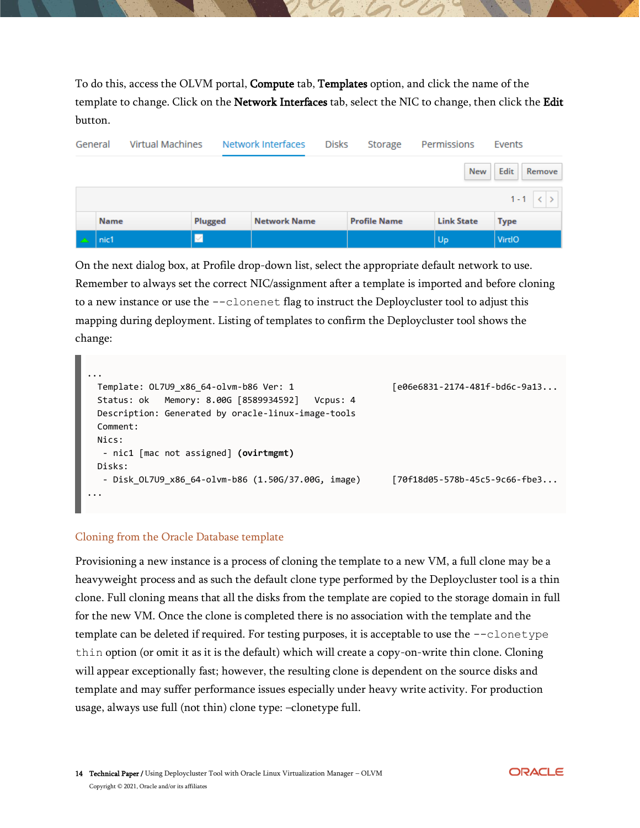To do this, access the OLVM portal, **Compute** tab, **Templates** option, and click the name of the template to change. Click on the Network Interfaces tab, select the NIC to change, then click the Edit button.

|  | <b>Virtual Machines</b><br>General |         | Network Interfaces  |  | <b>Disks</b>        | Storage           | Permissions    | Events |
|--|------------------------------------|---------|---------------------|--|---------------------|-------------------|----------------|--------|
|  |                                    |         |                     |  |                     | <b>New</b>        | Edit<br>Remove |        |
|  |                                    |         |                     |  |                     |                   | $1 - 1 \leq$   |        |
|  | Name                               | Plugged | <b>Network Name</b> |  | <b>Profile Name</b> | <b>Link State</b> | <b>Type</b>    |        |
|  | nic1                               |         |                     |  |                     | Up                | VirtIO         |        |

On the next dialog box, at Profile drop-down list, select the appropriate default network to use. Remember to always set the correct NIC/assignment after a template is imported and before cloning to a new instance or use the  $--$ clonenet flag to instruct the Deploycluster tool to adjust this mapping during deployment. Listing of templates to confirm the Deploycluster tool shows the change:

```
...
 Template: OL7U9 x86 64-olvm-b86 Ver: 1 [e06e6831-2174-481f-bd6c-9a13...
  Status: ok Memory: 8.00G [8589934592] Vcpus: 4
  Description: Generated by oracle-linux-image-tools
  Comment:
  Nics:
   - nic1 [mac not assigned] (ovirtmgmt)
  Disks:
   - Disk_OL7U9_x86_64-olvm-b86 (1.50G/37.00G, image) [70f18d05-578b-45c5-9c66-fbe3...
...
```
#### <span id="page-13-0"></span>Cloning from the Oracle Database template

Provisioning a new instance is a process of cloning the template to a new VM, a full clone may be a heavyweight process and as such the default clone type performed by the Deploycluster tool is a thin clone. Full cloning means that all the disks from the template are copied to the storage domain in full for the new VM. Once the clone is completed there is no association with the template and the template can be deleted if required. For testing purposes, it is acceptable to use the  $-\text{clon-type}$ thin option (or omit it as it is the default) which will create a copy-on-write thin clone. Cloning will appear exceptionally fast; however, the resulting clone is dependent on the source disks and template and may suffer performance issues especially under heavy write activity. For production usage, always use full (not thin) clone type: –clonetype full.

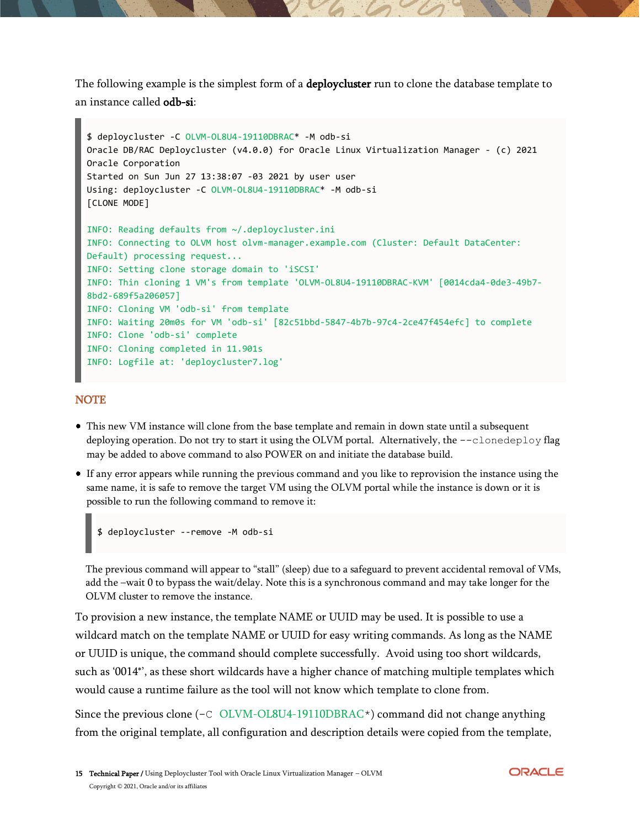The following example is the simplest form of a **deploycluster** run to clone the database template to an instance called odb-si:

```
$ deploycluster -C OLVM-OL8U4-19110DBRAC* -M odb-si
Oracle DB/RAC Deploycluster (v4.0.0) for Oracle Linux Virtualization Manager - (c) 2021 
Oracle Corporation
Started on Sun Jun 27 13:38:07 -03 2021 by user user
Using: deploycluster -C OLVM-OL8U4-19110DBRAC* -M odb-si
[CLONE MODE]
INFO: Reading defaults from ~/.deploycluster.ini
INFO: Connecting to OLVM host olvm-manager.example.com (Cluster: Default DataCenter: 
Default) processing request...
INFO: Setting clone storage domain to 'iSCSI'
INFO: Thin cloning 1 VM's from template 'OLVM-OL8U4-19110DBRAC-KVM' [0014cda4-0de3-49b7-
8bd2-689f5a206057]
INFO: Cloning VM 'odb-si' from template
INFO: Waiting 20m0s for VM 'odb-si' [82c51bbd-5847-4b7b-97c4-2ce47f454efc] to complete
INFO: Clone 'odb-si' complete
INFO: Cloning completed in 11.901s
INFO: Logfile at: 'deploycluster7.log'
```
#### **NOTE**

- This new VM instance will clone from the base template and remain in down state until a subsequent deploying operation. Do not try to start it using the OLVM portal. Alternatively, the --clonedeploy flag may be added to above command to also POWER on and initiate the database build.
- If any error appears while running the previous command and you like to reprovision the instance using the same name, it is safe to remove the target VM using the OLVM portal while the instance is down or it is possible to run the following command to remove it:

```
$ deploycluster --remove -M odb-si
```
The previous command will appear to "stall" (sleep) due to a safeguard to prevent accidental removal of VMs, add the –wait 0 to bypass the wait/delay. Note this is a synchronous command and may take longer for the OLVM cluster to remove the instance.

To provision a new instance, the template NAME or UUID may be used. It is possible to use a wildcard match on the template NAME or UUID for easy writing commands. As long as the NAME or UUID is unique, the command should complete successfully. Avoid using too short wildcards, such as '0014\*', as these short wildcards have a higher chance of matching multiple templates which would cause a runtime failure as the tool will not know which template to clone from.

Since the previous clone (-C OLVM-OL8U4-19110DBRAC\*) command did not change anything from the original template, all configuration and description details were copied from the template,

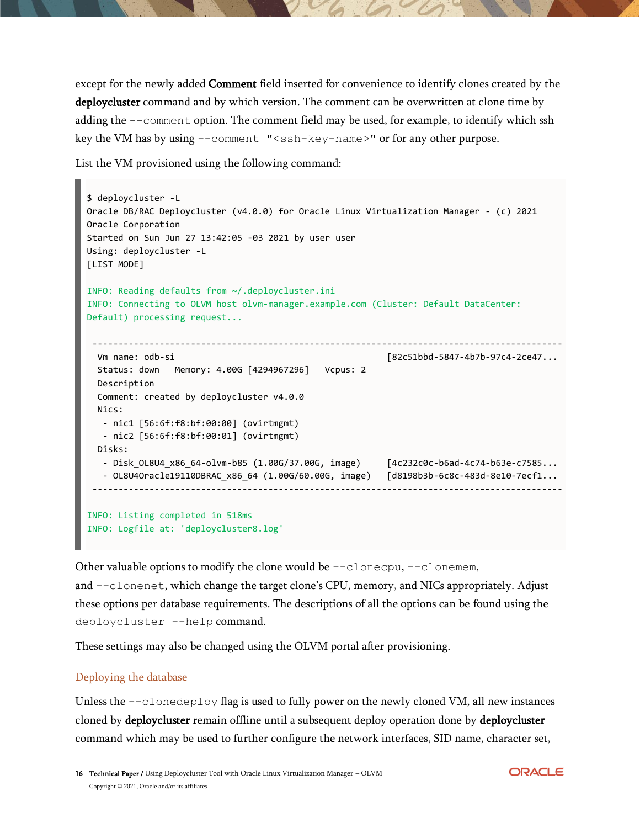except for the newly added Comment field inserted for convenience to identify clones created by the deploycluster command and by which version. The comment can be overwritten at clone time by adding the --comment option. The comment field may be used, for example, to identify which ssh key the VM has by using --comment "<ssh-key-name>" or for any other purpose.

List the VM provisioned using the following command:

```
$ deploycluster -L
Oracle DB/RAC Deploycluster (v4.0.0) for Oracle Linux Virtualization Manager - (c) 2021 
Oracle Corporation
Started on Sun Jun 27 13:42:05 -03 2021 by user user
Using: deploycluster -L
[LIST MODE]
INFO: Reading defaults from ~/.deploycluster.ini
INFO: Connecting to OLVM host olvm-manager.example.com (Cluster: Default DataCenter: 
Default) processing request...
 -------------------------------------------------------------------------------------------
  Vm name: odb-si [82c51bbd-5847-4b7b-97c4-2ce47...
  Status: down Memory: 4.00G [4294967296] Vcpus: 2
  Description 
  Comment: created by deploycluster v4.0.0
  Nics:
    - nic1 [56:6f:f8:bf:00:00] (ovirtmgmt)
    - nic2 [56:6f:f8:bf:00:01] (ovirtmgmt)
  Disks:
    - Disk_OL8U4_x86_64-olvm-b85 (1.00G/37.00G, image) [4c232c0c-b6ad-4c74-b63e-c7585...
    - OL8U4Oracle19110DBRAC_x86_64 (1.00G/60.00G, image) [d8198b3b-6c8c-483d-8e10-7ecf1...
 -------------------------------------------------------------------------------------------
INFO: Listing completed in 518ms
```
INFO: Logfile at: 'deploycluster8.log'

Other valuable options to modify the clone would be --clonecpu, --clonemem, and  $--c$ lonenet, which change the target clone's CPU, memory, and NICs appropriately. Adjust these options per database requirements. The descriptions of all the options can be found using the deploycluster --help command.

These settings may also be changed using the OLVM portal after provisioning.

#### <span id="page-15-0"></span>Deploying the database

Unless the --clonedeploy flag is used to fully power on the newly cloned VM, all new instances cloned by deploycluster remain offline until a subsequent deploy operation done by deploycluster command which may be used to further configure the network interfaces, SID name, character set,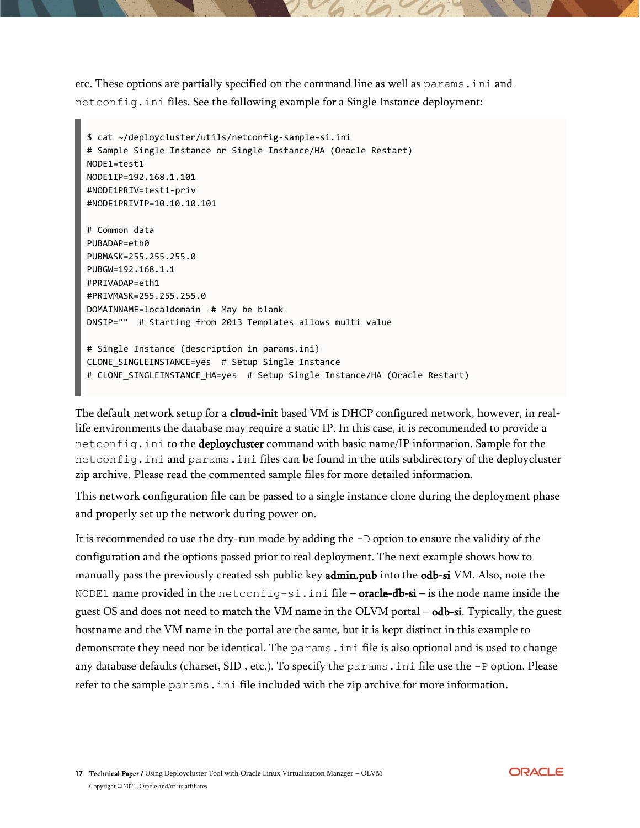etc. These options are partially specified on the command line as well as params.ini and netconfig.ini files. See the following example for a Single Instance deployment:

```
$ cat ~/deploycluster/utils/netconfig-sample-si.ini
# Sample Single Instance or Single Instance/HA (Oracle Restart)
NODE1=test1
NODE1IP=192.168.1.101
#NODE1PRIV=test1-priv
#NODE1PRIVIP=10.10.10.101
# Common data
PUBADAP=eth0
PUBMASK=255.255.255.0
PUBGW=192.168.1.1
#PRIVADAP=eth1
#PRIVMASK=255.255.255.0
DOMAINNAME=localdomain # May be blank
DNSIP="" # Starting from 2013 Templates allows multi value
# Single Instance (description in params.ini)
CLONE_SINGLEINSTANCE=yes # Setup Single Instance
# CLONE SINGLEINSTANCE HA=yes # Setup Single Instance/HA (Oracle Restart)
```
The default network setup for a cloud-init based VM is DHCP configured network, however, in reallife environments the database may require a static IP. In this case, it is recommended to provide a netconfig.ini to the deploycluster command with basic name/IP information. Sample for the netconfig.ini and params.ini files can be found in the utils subdirectory of the deploycluster zip archive. Please read the commented sample files for more detailed information.

This network configuration file can be passed to a single instance clone during the deployment phase and properly set up the network during power on.

It is recommended to use the dry-run mode by adding the  $-D$  option to ensure the validity of the configuration and the options passed prior to real deployment. The next example shows how to manually pass the previously created ssh public key admin.pub into the odb-si VM. Also, note the NODE1 name provided in the netconfig-si.ini file – oracle-db-si – is the node name inside the guest OS and does not need to match the VM name in the OLVM portal – odb-si. Typically, the guest hostname and the VM name in the portal are the same, but it is kept distinct in this example to demonstrate they need not be identical. The params.ini file is also optional and is used to change any database defaults (charset, SID, etc.). To specify the params.ini file use the -P option. Please refer to the sample params.ini file included with the zip archive for more information.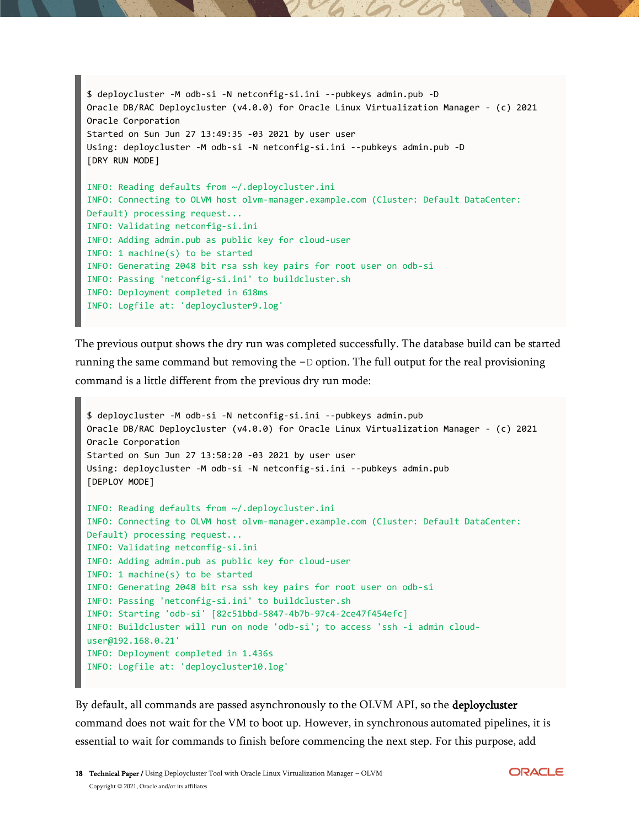```
$ deploycluster -M odb-si -N netconfig-si.ini --pubkeys admin.pub -D
Oracle DB/RAC Deploycluster (v4.0.0) for Oracle Linux Virtualization Manager - (c) 2021 
Oracle Corporation
Started on Sun Jun 27 13:49:35 -03 2021 by user user
Using: deploycluster -M odb-si -N netconfig-si.ini --pubkeys admin.pub -D
[DRY RUN MODE]
INFO: Reading defaults from ~/.deploycluster.ini
INFO: Connecting to OLVM host olvm-manager.example.com (Cluster: Default DataCenter: 
Default) processing request...
INFO: Validating netconfig-si.ini
INFO: Adding admin.pub as public key for cloud-user
INFO: 1 machine(s) to be started
INFO: Generating 2048 bit rsa ssh key pairs for root user on odb-si
INFO: Passing 'netconfig-si.ini' to buildcluster.sh
INFO: Deployment completed in 618ms
INFO: Logfile at: 'deploycluster9.log'
```
The previous output shows the dry run was completed successfully. The database build can be started running the same command but removing the  $-D$  option. The full output for the real provisioning command is a little different from the previous dry run mode:

```
$ deploycluster -M odb-si -N netconfig-si.ini --pubkeys admin.pub
Oracle DB/RAC Deploycluster (v4.0.0) for Oracle Linux Virtualization Manager - (c) 2021 
Oracle Corporation
Started on Sun Jun 27 13:50:20 -03 2021 by user user
Using: deploycluster -M odb-si -N netconfig-si.ini --pubkeys admin.pub
[DEPLOY MODE]
INFO: Reading defaults from ~/.deploycluster.ini
INFO: Connecting to OLVM host olvm-manager.example.com (Cluster: Default DataCenter: 
Default) processing request...
INFO: Validating netconfig-si.ini
INFO: Adding admin.pub as public key for cloud-user
INFO: 1 machine(s) to be started
INFO: Generating 2048 bit rsa ssh key pairs for root user on odb-si
INFO: Passing 'netconfig-si.ini' to buildcluster.sh
INFO: Starting 'odb-si' [82c51bbd-5847-4b7b-97c4-2ce47f454efc]
INFO: Buildcluster will run on node 'odb-si'; to access 'ssh -i admin cloud-
user@192.168.0.21'
INFO: Deployment completed in 1.436s
INFO: Logfile at: 'deploycluster10.log'
```
By default, all commands are passed asynchronously to the OLVM API, so the deploycluster command does not wait for the VM to boot up. However, in synchronous automated pipelines, it is essential to wait for commands to finish before commencing the next step. For this purpose, add

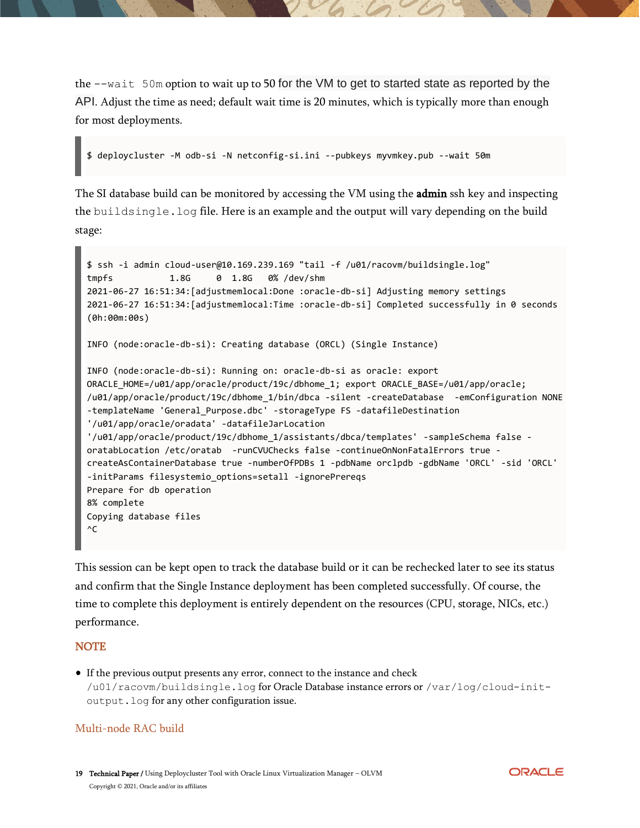the --wait 50m option to wait up to 50 for the VM to get to started state as reported by the API. Adjust the time as need; default wait time is 20 minutes, which is typically more than enough for most deployments.

```
$ deploycluster -M odb-si -N netconfig-si.ini --pubkeys myvmkey.pub --wait 50m
```
The SI database build can be monitored by accessing the VM using the **admin** ssh key and inspecting the buildsingle.log file. Here is an example and the output will vary depending on the build stage:

```
$ ssh -i admin cloud-user@10.169.239.169 "tail -f /u01/racovm/buildsingle.log"
tmpfs 1.8G 0 1.8G 0% /dev/shm
2021-06-27 16:51:34:[adjustmemlocal:Done :oracle-db-si] Adjusting memory settings
2021-06-27 16:51:34:[adjustmemlocal:Time :oracle-db-si] Completed successfully in 0 seconds 
(0h:00m:00s)
INFO (node:oracle-db-si): Creating database (ORCL) (Single Instance)
INFO (node:oracle-db-si): Running on: oracle-db-si as oracle: export 
ORACLE_HOME=/u01/app/oracle/product/19c/dbhome_1; export ORACLE_BASE=/u01/app/oracle; 
/u01/app/oracle/product/19c/dbhome_1/bin/dbca -silent -createDatabase -emConfiguration NONE 
-templateName 'General_Purpose.dbc' -storageType FS -datafileDestination 
'/u01/app/oracle/oradata' -datafileJarLocation 
'/u01/app/oracle/product/19c/dbhome_1/assistants/dbca/templates' -sampleSchema false -
oratabLocation /etc/oratab -runCVUChecks false -continueOnNonFatalErrors true -
createAsContainerDatabase true -numberOfPDBs 1 -pdbName orclpdb -gdbName 'ORCL' -sid 'ORCL' 
-initParams filesystemio_options=setall -ignorePrereqs
Prepare for db operation
8% complete
Copying database files
^{\wedge}C
```
This session can be kept open to track the database build or it can be rechecked later to see its status and confirm that the Single Instance deployment has been completed successfully. Of course, the time to complete this deployment is entirely dependent on the resources (CPU, storage, NICs, etc.) performance.

#### **NOTE**

If the previous output presents any error, connect to the instance and check /u01/racovm/buildsingle.log for Oracle Database instance errors or /var/log/cloud-initoutput.log for any other configuration issue.

#### <span id="page-18-0"></span>Multi-node RAC build

19 Technical Paper / Using Deploycluster Tool with Oracle Linux Virtualization Manager - OLVM Copyright © 2021, Oracle and/or its affiliates

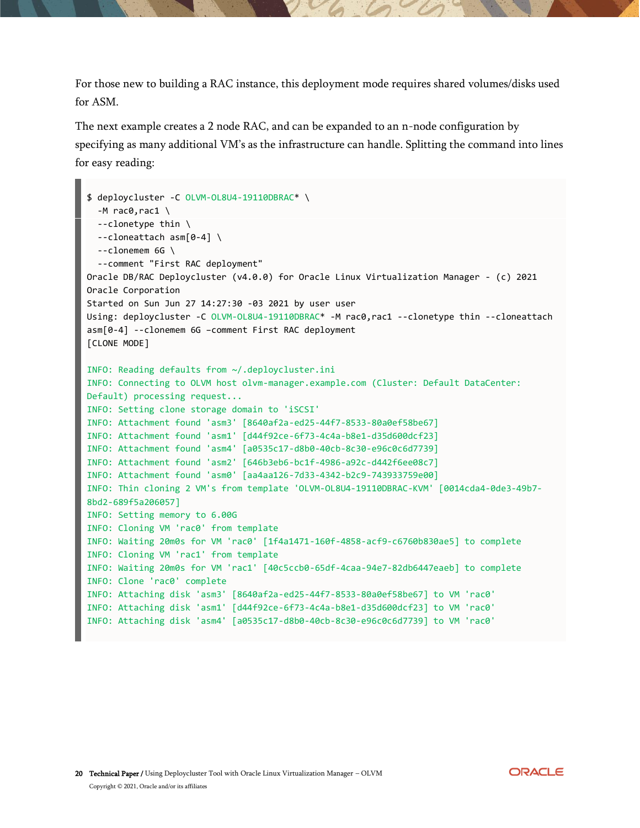For those new to building a RAC instance, this deployment mode requires shared volumes/disks used for ASM.

The next example creates a 2 node RAC, and can be expanded to an n-node configuration by specifying as many additional VM's as the infrastructure can handle. Splitting the command into lines for easy reading:

```
$ deploycluster -C OLVM-OL8U4-19110DBRAC* \
  -M rac0,rac1 \setminus --clonetype thin \
   --cloneattach asm[0-4] \
  --clonemem 6G \
   --comment "First RAC deployment"
Oracle DB/RAC Deploycluster (v4.0.0) for Oracle Linux Virtualization Manager - (c) 2021 
Oracle Corporation
Started on Sun Jun 27 14:27:30 -03 2021 by user user
Using: deploycluster -C OLVM-OL8U4-19110DBRAC* -M rac0,rac1 --clonetype thin --cloneattach 
asm[0-4] --clonemem 6G –comment First RAC deployment
[CLONE MODE]
INFO: Reading defaults from ~/.deploycluster.ini
INFO: Connecting to OLVM host olvm-manager.example.com (Cluster: Default DataCenter: 
Default) processing request...
INFO: Setting clone storage domain to 'iSCSI'
INFO: Attachment found 'asm3' [8640af2a-ed25-44f7-8533-80a0ef58be67]
INFO: Attachment found 'asm1' [d44f92ce-6f73-4c4a-b8e1-d35d600dcf23]
INFO: Attachment found 'asm4' [a0535c17-d8b0-40cb-8c30-e96c0c6d7739]
INFO: Attachment found 'asm2' [646b3eb6-bc1f-4986-a92c-d442f6ee08c7]
INFO: Attachment found 'asm0' [aa4aa126-7d33-4342-b2c9-743933759e00]
INFO: Thin cloning 2 VM's from template 'OLVM-OL8U4-19110DBRAC-KVM' [0014cda4-0de3-49b7-
8bd2-689f5a206057]
INFO: Setting memory to 6.00G
INFO: Cloning VM 'rac0' from template
INFO: Waiting 20m0s for VM 'rac0' [1f4a1471-160f-4858-acf9-c6760b830ae5] to complete
INFO: Cloning VM 'rac1' from template
INFO: Waiting 20m0s for VM 'rac1' [40c5ccb0-65df-4caa-94e7-82db6447eaeb] to complete
INFO: Clone 'rac0' complete
INFO: Attaching disk 'asm3' [8640af2a-ed25-44f7-8533-80a0ef58be67] to VM 'rac0'
INFO: Attaching disk 'asm1' [d44f92ce-6f73-4c4a-b8e1-d35d600dcf23] to VM 'rac0'
INFO: Attaching disk 'asm4' [a0535c17-d8b0-40cb-8c30-e96c0c6d7739] to VM 'rac0'
```
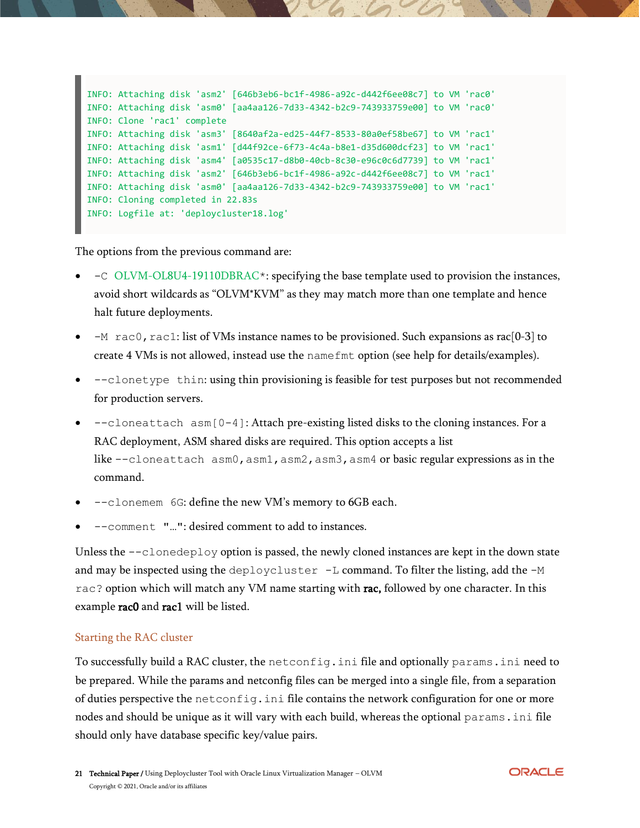```
INFO: Attaching disk 'asm2' [646b3eb6-bc1f-4986-a92c-d442f6ee08c7] to VM 'rac0'
INFO: Attaching disk 'asm0' [aa4aa126-7d33-4342-b2c9-743933759e00] to VM 'rac0'
INFO: Clone 'rac1' complete
INFO: Attaching disk 'asm3' [8640af2a-ed25-44f7-8533-80a0ef58be67] to VM 'rac1'
INFO: Attaching disk 'asm1' [d44f92ce-6f73-4c4a-b8e1-d35d600dcf23] to VM 'rac1'
INFO: Attaching disk 'asm4' [a0535c17-d8b0-40cb-8c30-e96c0c6d7739] to VM 'rac1'
INFO: Attaching disk 'asm2' [646b3eb6-bc1f-4986-a92c-d442f6ee08c7] to VM 'rac1'
INFO: Attaching disk 'asm0' [aa4aa126-7d33-4342-b2c9-743933759e00] to VM 'rac1'
INFO: Cloning completed in 22.83s
INFO: Logfile at: 'deploycluster18.log'
```
The options from the previous command are:

- -C OLVM-OL8U4-19110DBRAC\*: specifying the base template used to provision the instances, avoid short wildcards as "OLVM\*KVM" as they may match more than one template and hence halt future deployments.
- $-M$  rac0, rac1: list of VMs instance names to be provisioned. Such expansions as rac[0-3] to create 4 VMs is not allowed, instead use the namefmt option (see help for details/examples).
- --clonetype thin: using thin provisioning is feasible for test purposes but not recommended for production servers.
- $\neg$  --cloneattach asm[0-4]: Attach pre-existing listed disks to the cloning instances. For a RAC deployment, ASM shared disks are required. This option accepts a list like  $--$ cloneattach asm $0$ , asm $1$ , asm $2$ , asm $3$ , asm $4$  or basic regular expressions as in the command.
- --clonemem 6G: define the new VM's memory to 6GB each.
- --comment "…": desired comment to add to instances.

Unless the  $--$ clonedeploy option is passed, the newly cloned instances are kept in the down state and may be inspected using the deploycluster  $-L$  command. To filter the listing, add the  $-M$ rac? option which will match any VM name starting with rac, followed by one character. In this example rac0 and rac1 will be listed.

#### <span id="page-20-0"></span>Starting the RAC cluster

To successfully build a RAC cluster, the netconfig.ini file and optionally params.ini need to be prepared. While the params and netconfig files can be merged into a single file, from a separation of duties perspective the netconfig.ini file contains the network configuration for one or more nodes and should be unique as it will vary with each build, whereas the optional params.ini file should only have database specific key/value pairs.

**ORACLE**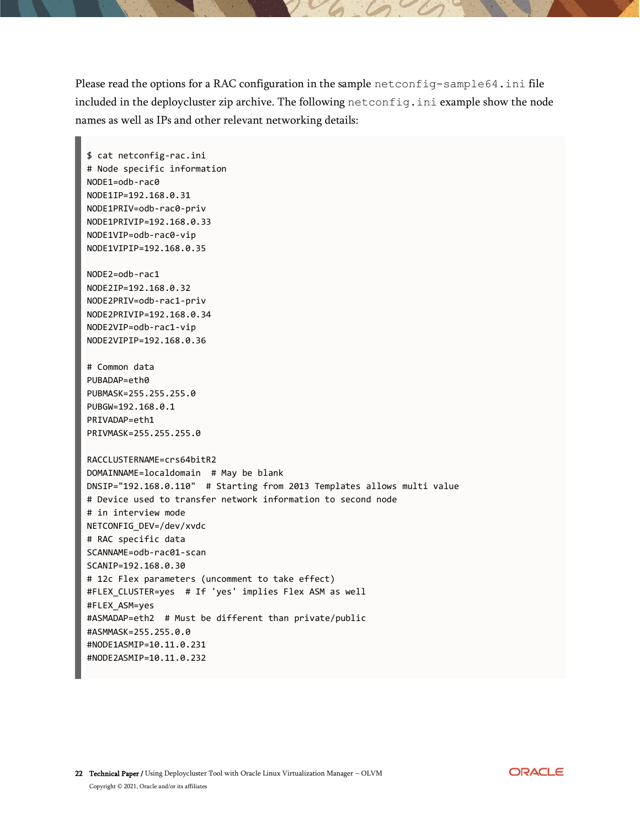Please read the options for a RAC configuration in the sample netconfig-sample64.ini file included in the deploycluster zip archive. The following netconfig.ini example show the node names as well as IPs and other relevant networking details:

\$ cat netconfig-rac.ini # Node specific information NODE1=odb-rac0 NODE1IP=192.168.0.31 NODE1PRIV=odb-rac0-priv NODE1PRIVIP=192.168.0.33 NODE1VIP=odb-rac0-vip NODE1VIPIP=192.168.0.35 NODE2=odb-rac1 NODE2IP=192.168.0.32 NODE2PRIV=odb-rac1-priv NODE2PRIVIP=192.168.0.34 NODE2VIP=odb-rac1-vip NODE2VIPIP=192.168.0.36 # Common data PUBADAP=eth0 PUBMASK=255.255.255.0 PUBGW=192.168.0.1 PRIVADAP=eth1 PRIVMASK=255.255.255.0 RACCLUSTERNAME=crs64bitR2 DOMAINNAME=localdomain # May be blank DNSIP="192.168.0.110" # Starting from 2013 Templates allows multi value # Device used to transfer network information to second node # in interview mode NETCONFIG\_DEV=/dev/xvdc # RAC specific data SCANNAME=odb-rac01-scan SCANIP=192.168.0.30 # 12c Flex parameters (uncomment to take effect) #FLEX\_CLUSTER=yes # If 'yes' implies Flex ASM as well #FLEX\_ASM=yes #ASMADAP=eth2 # Must be different than private/public #ASMMASK=255.255.0.0 #NODE1ASMIP=10.11.0.231 #NODE2ASMIP=10.11.0.232

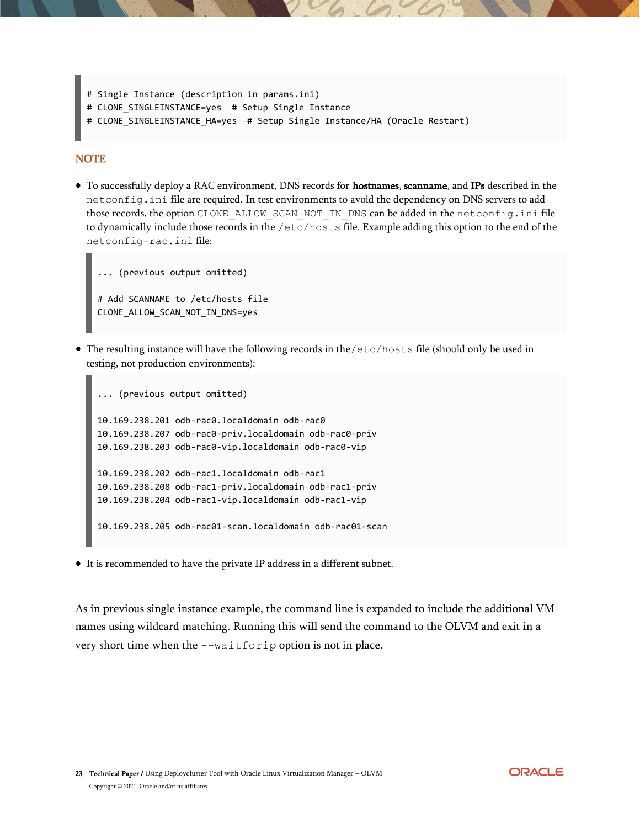```
# Single Instance (description in params.ini)
# CLONE SINGLEINSTANCE=yes # Setup Single Instance
# CLONE_SINGLEINSTANCE_HA=yes # Setup Single Instance/HA (Oracle Restart)
```
#### **NOTE**

• To successfully deploy a RAC environment, DNS records for **hostnames**, scanname, and IPs described in the netconfig.ini file are required. In test environments to avoid the dependency on DNS servers to add those records, the option CLONE\_ALLOW\_SCAN\_NOT\_IN\_DNS can be added in the netconfig.ini file to dynamically include those records in the /etc/hosts file. Example adding this option to the end of the netconfig-rac.ini file:

```
... (previous output omitted)
# Add SCANNAME to /etc/hosts file
CLONE_ALLOW_SCAN_NOT_IN_DNS=yes
```
The resulting instance will have the following records in the/etc/hosts file (should only be used in testing, not production environments):

```
... (previous output omitted)
10.169.238.201 odb-rac0.localdomain odb-rac0
10.169.238.207 odb-rac0-priv.localdomain odb-rac0-priv
10.169.238.203 odb-rac0-vip.localdomain odb-rac0-vip
10.169.238.202 odb-rac1.localdomain odb-rac1
10.169.238.208 odb-rac1-priv.localdomain odb-rac1-priv
10.169.238.204 odb-rac1-vip.localdomain odb-rac1-vip
10.169.238.205 odb-rac01-scan.localdomain odb-rac01-scan
```
It is recommended to have the private IP address in a different subnet.

As in previous single instance example, the command line is expanded to include the additional VM names using wildcard matching. Running this will send the command to the OLVM and exit in a very short time when the --waitforip option is not in place.

**ORACLE**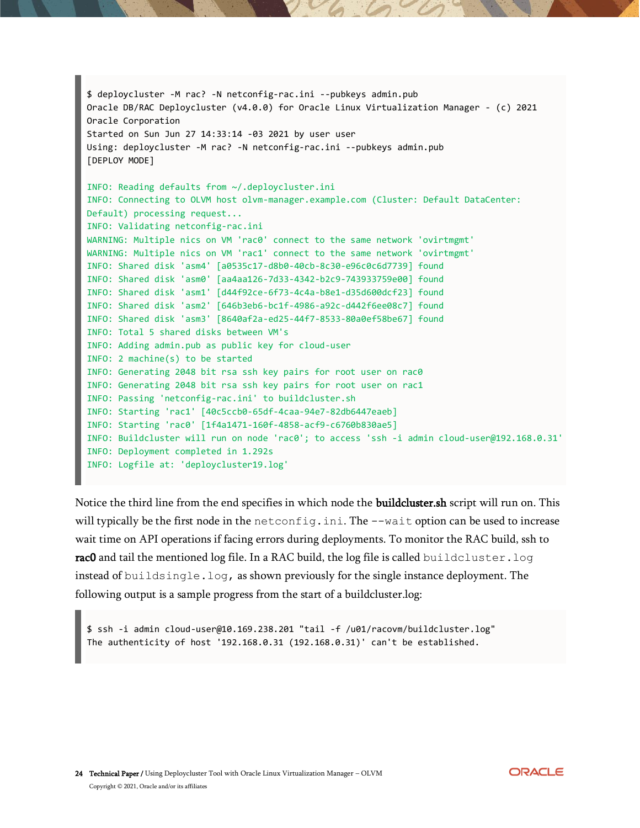```
$ deploycluster -M rac? -N netconfig-rac.ini --pubkeys admin.pub
Oracle DB/RAC Deploycluster (v4.0.0) for Oracle Linux Virtualization Manager - (c) 2021 
Oracle Corporation
Started on Sun Jun 27 14:33:14 -03 2021 by user user
Using: deploycluster -M rac? -N netconfig-rac.ini --pubkeys admin.pub
[DEPLOY MODE]
INFO: Reading defaults from ~/.deploycluster.ini
INFO: Connecting to OLVM host olvm-manager.example.com (Cluster: Default DataCenter: 
Default) processing request...
INFO: Validating netconfig-rac.ini
WARNING: Multiple nics on VM 'rac0' connect to the same network 'ovirtmgmt'
WARNING: Multiple nics on VM 'rac1' connect to the same network 'ovirtmgmt'
INFO: Shared disk 'asm4' [a0535c17-d8b0-40cb-8c30-e96c0c6d7739] found
INFO: Shared disk 'asm0' [aa4aa126-7d33-4342-b2c9-743933759e00] found
INFO: Shared disk 'asm1' [d44f92ce-6f73-4c4a-b8e1-d35d600dcf23] found
INFO: Shared disk 'asm2' [646b3eb6-bc1f-4986-a92c-d442f6ee08c7] found
INFO: Shared disk 'asm3' [8640af2a-ed25-44f7-8533-80a0ef58be67] found
INFO: Total 5 shared disks between VM's
INFO: Adding admin.pub as public key for cloud-user
INFO: 2 machine(s) to be started
INFO: Generating 2048 bit rsa ssh key pairs for root user on rac0
INFO: Generating 2048 bit rsa ssh key pairs for root user on rac1
INFO: Passing 'netconfig-rac.ini' to buildcluster.sh
INFO: Starting 'rac1' [40c5ccb0-65df-4caa-94e7-82db6447eaeb]
INFO: Starting 'rac0' [1f4a1471-160f-4858-acf9-c6760b830ae5]
INFO: Buildcluster will run on node 'rac0'; to access 'ssh -i admin cloud-user@192.168.0.31'
INFO: Deployment completed in 1.292s
INFO: Logfile at: 'deploycluster19.log'
```
Notice the third line from the end specifies in which node the **buildcluster.sh** script will run on. This will typically be the first node in the netconfig.ini. The  $-\text{wait}$  option can be used to increase wait time on API operations if facing errors during deployments. To monitor the RAC build, ssh to rac0 and tail the mentioned log file. In a RAC build, the log file is called buildcluster. log instead of buildsingle.log, as shown previously for the single instance deployment. The following output is a sample progress from the start of a buildcluster.log:

\$ ssh -i admin cloud-user@10.169.238.201 "tail -f /u01/racovm/buildcluster.log" The authenticity of host '192.168.0.31 (192.168.0.31)' can't be established.

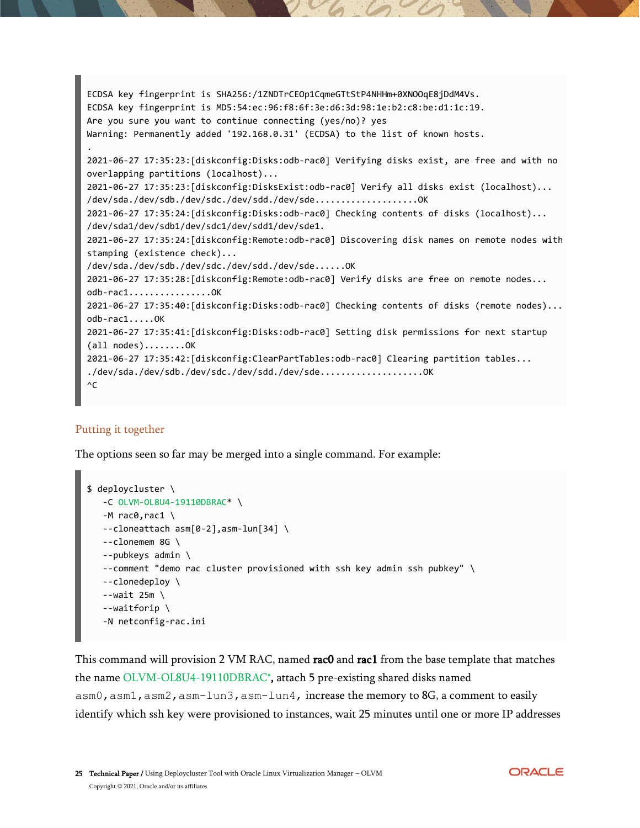```
ECDSA key fingerprint is SHA256:/1ZNDTrCEOp1CqmeGTtStP4NHHm+0XNOOqE8jDdM4Vs.
ECDSA key fingerprint is MD5:54:ec:96:f8:6f:3e:d6:3d:98:1e:b2:c8:be:d1:1c:19.
Are you sure you want to continue connecting (yes/no)? yes
Warning: Permanently added '192.168.0.31' (ECDSA) to the list of known hosts.
.
2021-06-27 17:35:23:[diskconfig:Disks:odb-rac0] Verifying disks exist, are free and with no 
overlapping partitions (localhost)...
2021-06-27 17:35:23:[diskconfig:DisksExist:odb-rac0] Verify all disks exist (localhost)...
/dev/sda./dev/sdb./dev/sdc./dev/sdd./dev/sde...................OK
2021-06-27 17:35:24:[diskconfig:Disks:odb-rac0] Checking contents of disks (localhost)...
/dev/sda1/dev/sdb1/dev/sdc1/dev/sdd1/dev/sde1.
2021-06-27 17:35:24:[diskconfig:Remote:odb-rac0] Discovering disk names on remote nodes with 
stamping (existence check)...
/dev/sda./dev/sdb./dev/sdc./dev/sdd./dev/sde......OK
2021-06-27 17:35:28:[diskconfig:Remote:odb-rac0] Verify disks are free on remote nodes...
odb-rac1................OK
2021-06-27 17:35:40:[diskconfig:Disks:odb-rac0] Checking contents of disks (remote nodes)...
odb-rac1.....OK
2021-06-27 17:35:41:[diskconfig:Disks:odb-rac0] Setting disk permissions for next startup 
(all nodes)........OK
2021-06-27 17:35:42:[diskconfig:ClearPartTables:odb-rac0] Clearing partition tables...
./dev/sda./dev/sdb./dev/sdc./dev/sdd./dev/sde.....................OK
\wedgeC
```
### <span id="page-24-0"></span>Putting it together

The options seen so far may be merged into a single command. For example:

```
$ deploycluster \
    -C OLVM-OL8U4-19110DBRAC* \
   -M rac0,rac1 \setminus --cloneattach asm[0-2],asm-lun[34] \
    --clonemem 8G \
    --pubkeys admin \
    --comment "demo rac cluster provisioned with ssh key admin ssh pubkey" \
    --clonedeploy \
   --wait 25m \
    --waitforip \
    -N netconfig-rac.ini
```
This command will provision 2 VM RAC, named rac0 and rac1 from the base template that matches the name OLVM-OL8U4-19110DBRAC\*, attach 5 pre-existing shared disks named asm0, asm1, asm2, asm-lun3, asm-lun4, increase the memory to 8G, a comment to easily identify which ssh key were provisioned to instances, wait 25 minutes until one or more IP addresses

**ORACLE**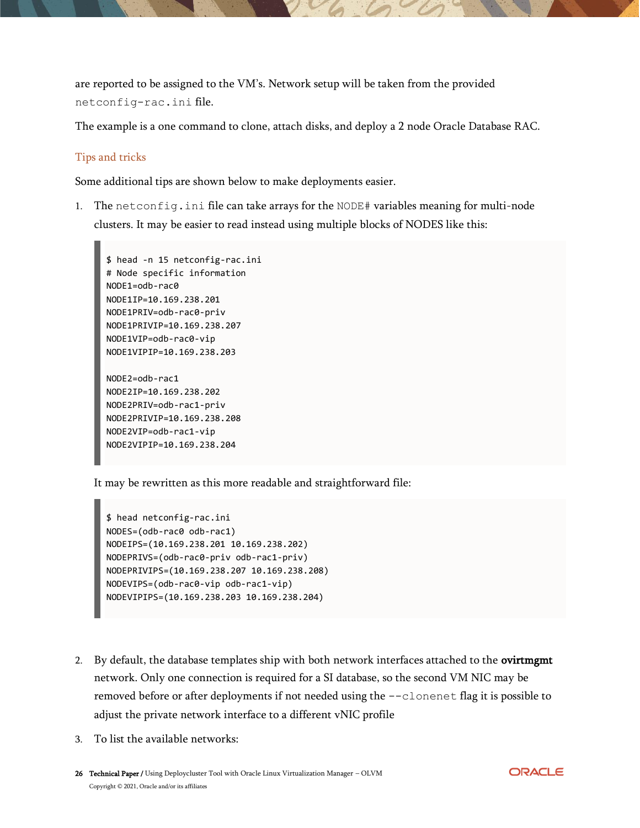are reported to be assigned to the VM's. Network setup will be taken from the provided netconfig-rac.ini file.

The example is a one command to clone, attach disks, and deploy a 2 node Oracle Database RAC.

#### <span id="page-25-0"></span>Tips and tricks

Some additional tips are shown below to make deployments easier.

1. The netconfig.ini file can take arrays for the NODE# variables meaning for multi-node clusters. It may be easier to read instead using multiple blocks of NODES like this:

```
$ head -n 15 netconfig-rac.ini
# Node specific information
NODE1=odb-rac0
NODE1IP=10.169.238.201
NODE1PRIV=odb-rac0-priv
NODE1PRIVIP=10.169.238.207
NODE1VIP=odb-rac0-vip
NODE1VIPIP=10.169.238.203
NODE2=odb-rac1
NODE2IP=10.169.238.202
```
NODE2PRIV=odb-rac1-priv NODE2PRIVIP=10.169.238.208 NODE2VIP=odb-rac1-vip NODE2VIPIP=10.169.238.204

It may be rewritten as this more readable and straightforward file:

```
$ head netconfig-rac.ini
NODES=(odb-rac0 odb-rac1)
NODEIPS=(10.169.238.201 10.169.238.202)
NODEPRIVS=(odb-rac0-priv odb-rac1-priv)
NODEPRIVIPS=(10.169.238.207 10.169.238.208)
NODEVIPS=(odb-rac0-vip odb-rac1-vip)
NODEVIPIPS=(10.169.238.203 10.169.238.204)
```
- 2. By default, the database templates ship with both network interfaces attached to the **ovirtment** network. Only one connection is required for a SI database, so the second VM NIC may be removed before or after deployments if not needed using the  $--$ clonenet flag it is possible to adjust the private network interface to a different vNIC profile
- 3. To list the available networks:

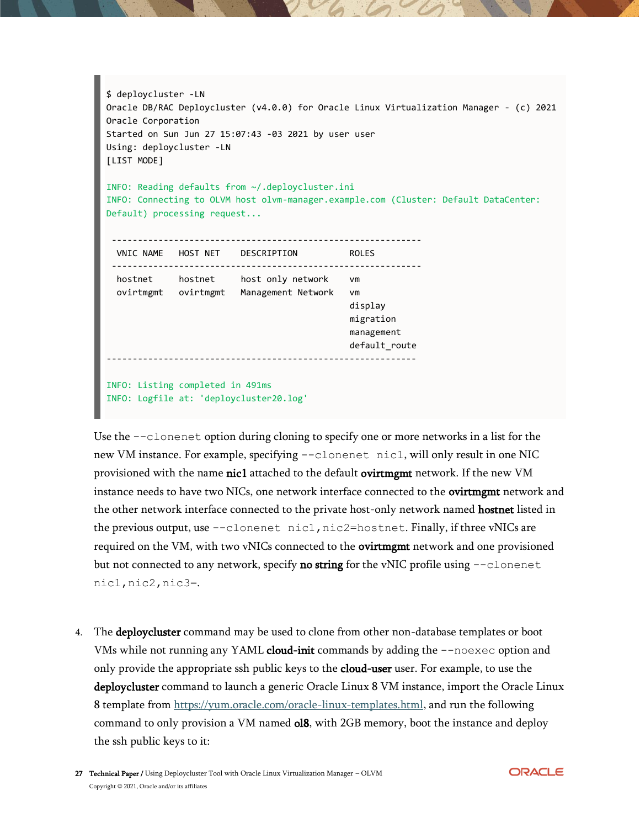```
$ deploycluster -LN
Oracle DB/RAC Deploycluster (v4.0.0) for Oracle Linux Virtualization Manager - (c) 2021 
Oracle Corporation
Started on Sun Jun 27 15:07:43 -03 2021 by user user
Using: deploycluster -LN
[LIST MODE]
INFO: Reading defaults from ~/.deploycluster.ini
INFO: Connecting to OLVM host olvm-manager.example.com (Cluster: Default DataCenter: 
Default) processing request...
 ------------------------------------------------------------
  VNIC NAME HOST NET DESCRIPTION ROLES 
 ------------------------------------------------------------
  hostnet hostnet host only network vm 
  ovirtmgmt ovirtmgmt Management Network vm 
                                               display 
                                              migration 
                                               management 
                                               default_route 
      ------------------------------------------------------------
INFO: Listing completed in 491ms
INFO: Logfile at: 'deploycluster20.log'
```
Use the --clonenet option during cloning to specify one or more networks in a list for the new VM instance. For example, specifying  $-\text{clonenet } \text{nic1},$  will only result in one NIC provisioned with the name nic1 attached to the default ovirtmgmt network. If the new VM instance needs to have two NICs, one network interface connected to the ovirtment network and the other network interface connected to the private host-only network named **hostnet** listed in the previous output, use --clonenet nic1,nic2=hostnet. Finally, if three vNICs are required on the VM, with two vNICs connected to the **ovirtment** network and one provisioned but not connected to any network, specify **no string** for the vNIC profile using  $--$ clonenet nic1,nic2,nic3=.

4. The deploycluster command may be used to clone from other non-database templates or boot VMs while not running any YAML cloud-init commands by adding the --noexec option and only provide the appropriate ssh public keys to the **cloud-user** user. For example, to use the deploycluster command to launch a generic Oracle Linux 8 VM instance, import the Oracle Linux 8 template from [https://yum.oracle.com/oracle-linux-templates.html,](https://yum.oracle.com/oracle-linux-templates.html) and run the following command to only provision a VM named ol8, with 2GB memory, boot the instance and deploy the ssh public keys to it:

27 Technical Paper / Using Deploycluster Tool with Oracle Linux Virtualization Manager - OLVM Copyright © 2021, Oracle and/or its affiliates

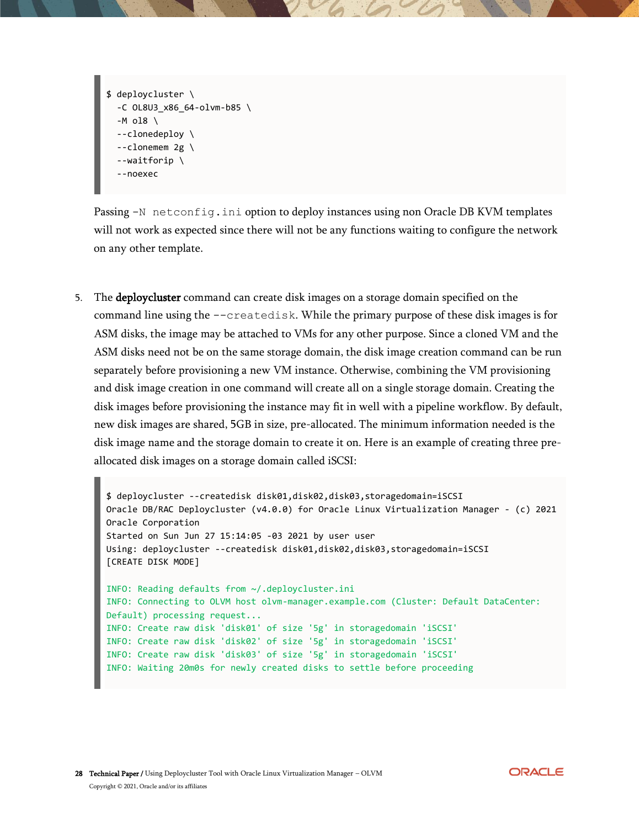```
$ deploycluster \
  -C OL8U3_x86_64-olvm-b85 \
   -M ol8 \
   --clonedeploy \
   --clonemem 2g \
   --waitforip \
   --noexec
```
Passing -N netconfig.ini option to deploy instances using non Oracle DB KVM templates will not work as expected since there will not be any functions waiting to configure the network on any other template.

5. The deploycluster command can create disk images on a storage domain specified on the command line using the --createdisk. While the primary purpose of these disk images is for ASM disks, the image may be attached to VMs for any other purpose. Since a cloned VM and the ASM disks need not be on the same storage domain, the disk image creation command can be run separately before provisioning a new VM instance. Otherwise, combining the VM provisioning and disk image creation in one command will create all on a single storage domain. Creating the disk images before provisioning the instance may fit in well with a pipeline workflow. By default, new disk images are shared, 5GB in size, pre-allocated. The minimum information needed is the disk image name and the storage domain to create it on. Here is an example of creating three preallocated disk images on a storage domain called iSCSI:

```
$ deploycluster --createdisk disk01,disk02,disk03,storagedomain=iSCSI
Oracle DB/RAC Deploycluster (v4.0.0) for Oracle Linux Virtualization Manager - (c) 2021 
Oracle Corporation
Started on Sun Jun 27 15:14:05 -03 2021 by user user
Using: deploycluster --createdisk disk01,disk02,disk03,storagedomain=iSCSI
[CREATE DISK MODE]
INFO: Reading defaults from ~/.deploycluster.ini
INFO: Connecting to OLVM host olvm-manager.example.com (Cluster: Default DataCenter: 
Default) processing request...
INFO: Create raw disk 'disk01' of size '5g' in storagedomain 'iSCSI'
INFO: Create raw disk 'disk02' of size '5g' in storagedomain 'iSCSI'
INFO: Create raw disk 'disk03' of size '5g' in storagedomain 'iSCSI'
INFO: Waiting 20m0s for newly created disks to settle before proceeding
```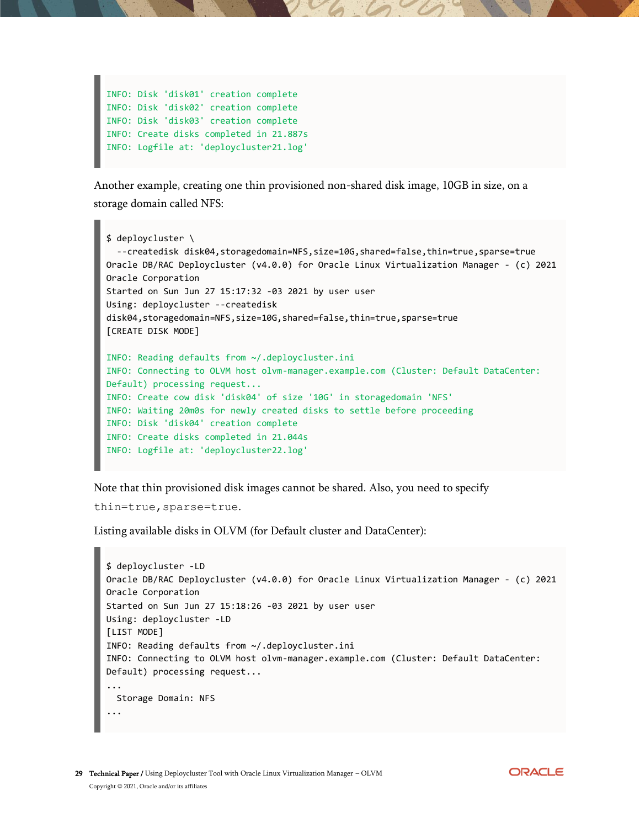```
INFO: Disk 'disk01' creation complete
INFO: Disk 'disk02' creation complete
INFO: Disk 'disk03' creation complete
INFO: Create disks completed in 21.887s
INFO: Logfile at: 'deploycluster21.log'
```
Another example, creating one thin provisioned non-shared disk image, 10GB in size, on a storage domain called NFS:

```
$ deploycluster \
  --createdisk disk04,storagedomain=NFS,size=10G,shared=false,thin=true,sparse=true
Oracle DB/RAC Deploycluster (v4.0.0) for Oracle Linux Virtualization Manager - (c) 2021 
Oracle Corporation
Started on Sun Jun 27 15:17:32 -03 2021 by user user
Using: deploycluster --createdisk 
disk04,storagedomain=NFS,size=10G,shared=false,thin=true,sparse=true
[CREATE DISK MODE]
INFO: Reading defaults from ~/.deploycluster.ini
INFO: Connecting to OLVM host olvm-manager.example.com (Cluster: Default DataCenter: 
Default) processing request...
INFO: Create cow disk 'disk04' of size '10G' in storagedomain 'NFS'
INFO: Waiting 20m0s for newly created disks to settle before proceeding
INFO: Disk 'disk04' creation complete
INFO: Create disks completed in 21.044s
INFO: Logfile at: 'deploycluster22.log'
```
Note that thin provisioned disk images cannot be shared. Also, you need to specify

thin=true, sparse=true.

Listing available disks in OLVM (for Default cluster and DataCenter):

```
$ deploycluster -LD
Oracle DB/RAC Deploycluster (v4.0.0) for Oracle Linux Virtualization Manager - (c) 2021 
Oracle Corporation
Started on Sun Jun 27 15:18:26 -03 2021 by user user
Using: deploycluster -LD
[LIST MODE]
INFO: Reading defaults from ~/.deploycluster.ini
INFO: Connecting to OLVM host olvm-manager.example.com (Cluster: Default DataCenter: 
Default) processing request...
...
  Storage Domain: NFS
...
```
**ORACLE**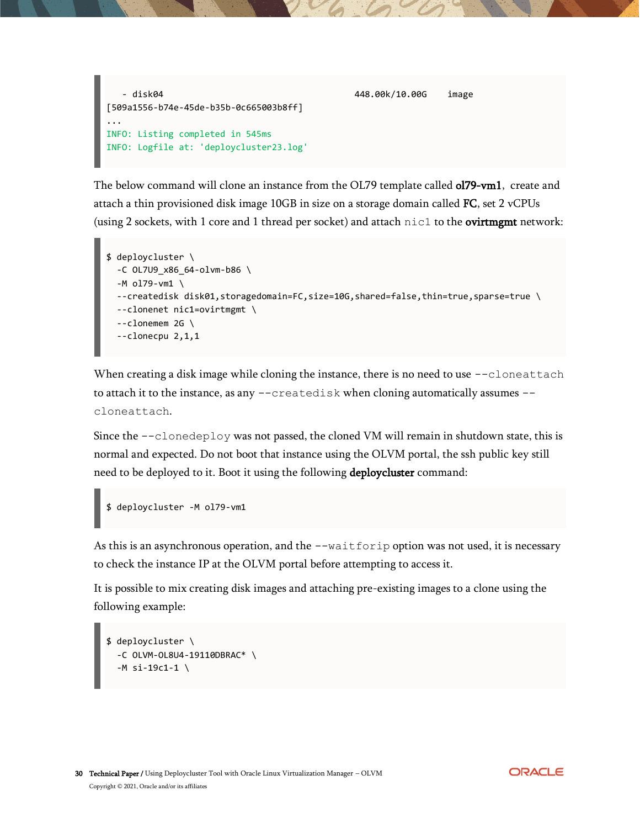

The below command will clone an instance from the OL79 template called **ol79-vm1**, create and attach a thin provisioned disk image  $10GB$  in size on a storage domain called FC, set 2 vCPUs (using 2 sockets, with 1 core and 1 thread per socket) and attach  $\text{nic1}$  to the **ovirtment** network:

```
$ deploycluster \
   -C OL7U9_x86_64-olvm-b86 \
   -M ol79-vm1 \
  --createdisk disk01,storagedomain=FC,size=10G,shared=false,thin=true,sparse=true \
   --clonenet nic1=ovirtmgmt \
  --clonemem 2G \
   --clonecpu 2,1,1
```
When creating a disk image while cloning the instance, there is no need to use --cloneattach to attach it to the instance, as any --createdisk when cloning automatically assumes -cloneattach.

Since the  $-\text{clonedepth}$  was not passed, the cloned VM will remain in shutdown state, this is normal and expected. Do not boot that instance using the OLVM portal, the ssh public key still need to be deployed to it. Boot it using the following deploycluster command:

```
$ deploycluster -M ol79-vm1
```
As this is an asynchronous operation, and the --waitforip option was not used, it is necessary to check the instance IP at the OLVM portal before attempting to access it.

It is possible to mix creating disk images and attaching pre-existing images to a clone using the following example:

```
$ deploycluster \
   -C OLVM-OL8U4-19110DBRAC* \
  -M si-19c1-1 \
```
**ORACLE**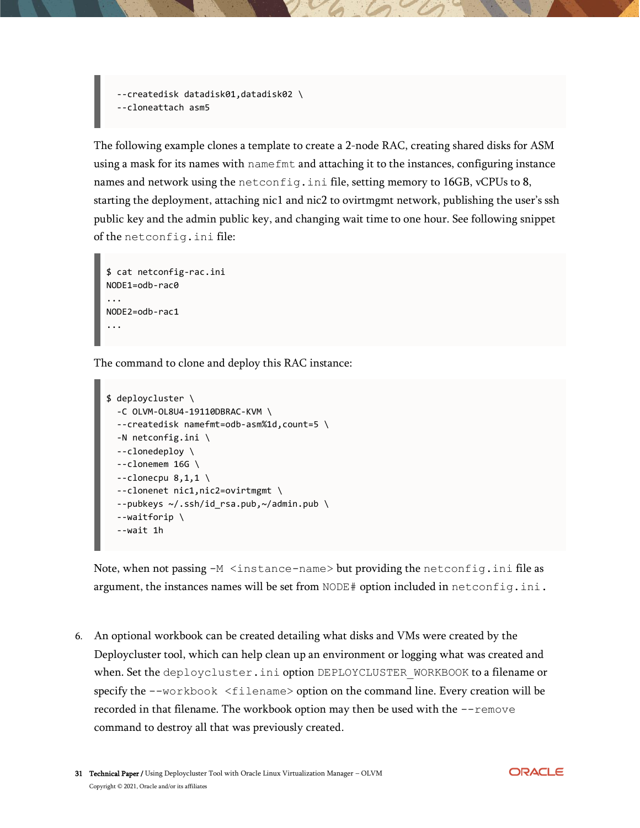--createdisk datadisk01,datadisk02 \ --cloneattach asm5

The following example clones a template to create a 2-node RAC, creating shared disks for ASM using a mask for its names with namefmt and attaching it to the instances, configuring instance names and network using the netconfig.ini file, setting memory to 16GB, vCPUs to 8, starting the deployment, attaching nic1 and nic2 to ovirtmgmt network, publishing the user's ssh public key and the admin public key, and changing wait time to one hour. See following snippet of the netconfig.ini file:

```
$ cat netconfig-rac.ini
NODE1=odb-rac0
...
NODE2=odb-rac1
...
```
The command to clone and deploy this RAC instance:

```
$ deploycluster \
   -C OLVM-OL8U4-19110DBRAC-KVM \
   --createdisk namefmt=odb-asm%1d,count=5 \
  -N netconfig.ini \
   --clonedeploy \
  --clonemem 16G \
  --clonecpu 8,1,1 \
   --clonenet nic1,nic2=ovirtmgmt \
   --pubkeys ~/.ssh/id_rsa.pub,~/admin.pub \
   --waitforip \
   --wait 1h
```
Note, when not passing -M <instance-name> but providing the netconfig.ini file as argument, the instances names will be set from  $\text{NODE}\,\#$  option included in  $\text{netconfig.ini.}$ 

6. An optional workbook can be created detailing what disks and VMs were created by the Deploycluster tool, which can help clean up an environment or logging what was created and when. Set the deploycluster.ini option DEPLOYCLUSTER WORKBOOK to a filename or specify the  $-\text{workbook} <$ filename> option on the command line. Every creation will be recorded in that filename. The workbook option may then be used with the  $-\text{remove}$ command to destroy all that was previously created.

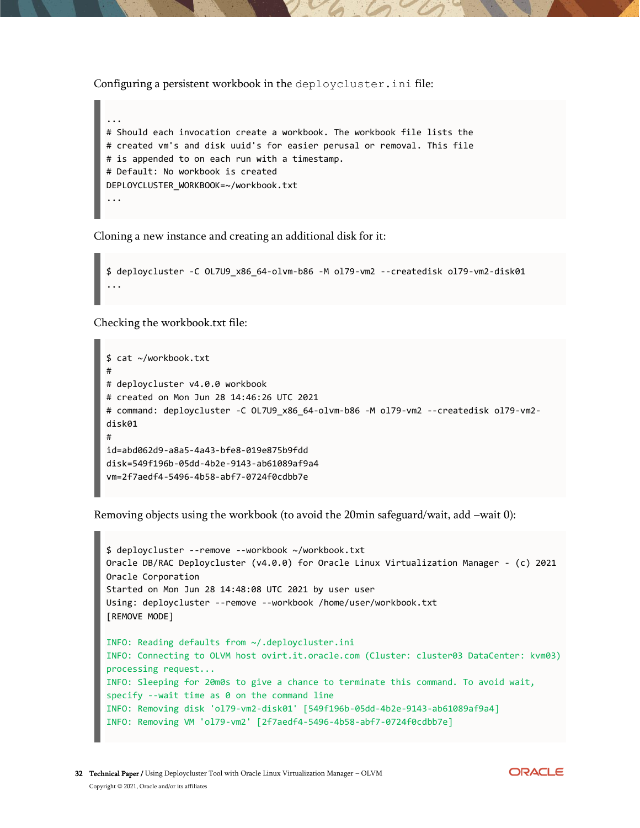Configuring a persistent workbook in the deploycluster.ini file:



Cloning a new instance and creating an additional disk for it:

```
$ deploycluster -C OL7U9_x86_64-olvm-b86 -M ol79-vm2 --createdisk ol79-vm2-disk01
...
```
Checking the workbook.txt file:

```
$ cat ~/workbook.txt
#
# deploycluster v4.0.0 workbook
# created on Mon Jun 28 14:46:26 UTC 2021
# command: deploycluster -C OL7U9 x86 64-olvm-b86 -M ol79-vm2 --createdisk ol79-vm2-
disk01
#
id=abd062d9-a8a5-4a43-bfe8-019e875b9fdd
disk=549f196b-05dd-4b2e-9143-ab61089af9a4
vm=2f7aedf4-5496-4b58-abf7-0724f0cdbb7e
```
Removing objects using the workbook (to avoid the 20min safeguard/wait, add –wait 0):

```
$ deploycluster --remove --workbook ~/workbook.txt
Oracle DB/RAC Deploycluster (v4.0.0) for Oracle Linux Virtualization Manager - (c) 2021 
Oracle Corporation
Started on Mon Jun 28 14:48:08 UTC 2021 by user user
Using: deploycluster --remove --workbook /home/user/workbook.txt
[REMOVE MODE]
INFO: Reading defaults from ~/.deploycluster.ini
INFO: Connecting to OLVM host ovirt.it.oracle.com (Cluster: cluster03 DataCenter: kvm03) 
processing request...
INFO: Sleeping for 20m0s to give a chance to terminate this command. To avoid wait, 
specify --wait time as 0 on the command line
INFO: Removing disk 'ol79-vm2-disk01' [549f196b-05dd-4b2e-9143-ab61089af9a4]
INFO: Removing VM 'ol79-vm2' [2f7aedf4-5496-4b58-abf7-0724f0cdbb7e]
```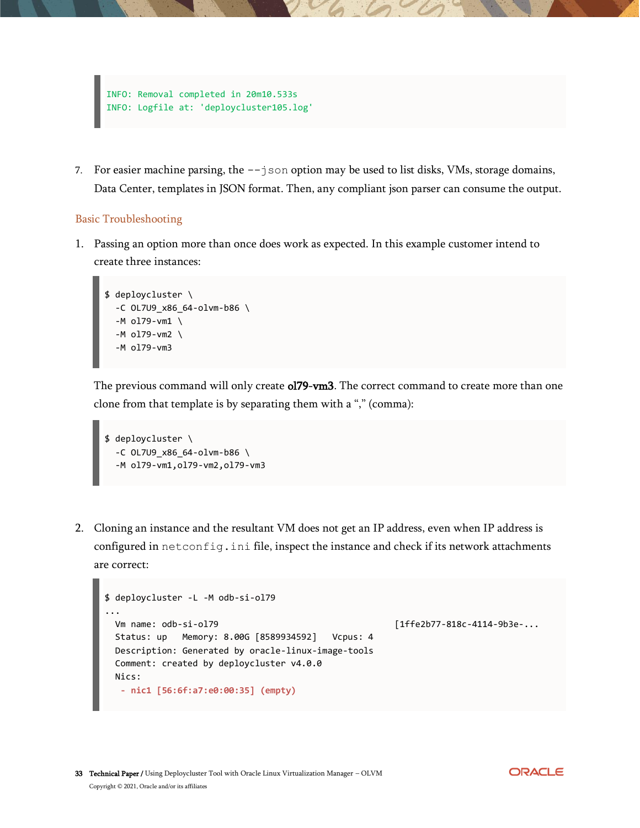

7. For easier machine parsing, the  $-\text{-}$  json option may be used to list disks, VMs, storage domains, Data Center, templates in JSON format. Then, any compliant json parser can consume the output.

#### <span id="page-32-0"></span>Basic Troubleshooting

1. Passing an option more than once does work as expected. In this example customer intend to create three instances:

```
$ deploycluster \
   -C OL7U9_x86_64-olvm-b86 \
   -M ol79-vm1 \
   -M ol79-vm2 \
   -M ol79-vm3
```
The previous command will only create **ol79-vm3**. The correct command to create more than one clone from that template is by separating them with a "," (comma):

```
$ deploycluster \
   -C OL7U9_x86_64-olvm-b86 \
   -M ol79-vm1,ol79-vm2,ol79-vm3
```
2. Cloning an instance and the resultant VM does not get an IP address, even when IP address is configured in netconfig.ini file, inspect the instance and check if its network attachments are correct:

```
$ deploycluster -L -M odb-si-ol79
...
  Vm name: odb-si-ol79 [1ffe2b77-818c-4114-9b3e-...
  Status: up Memory: 8.00G [8589934592] Vcpus: 4
  Description: Generated by oracle-linux-image-tools
  Comment: created by deploycluster v4.0.0
  Nics:
   - nic1 [56:6f:a7:e0:00:35] (empty)
```
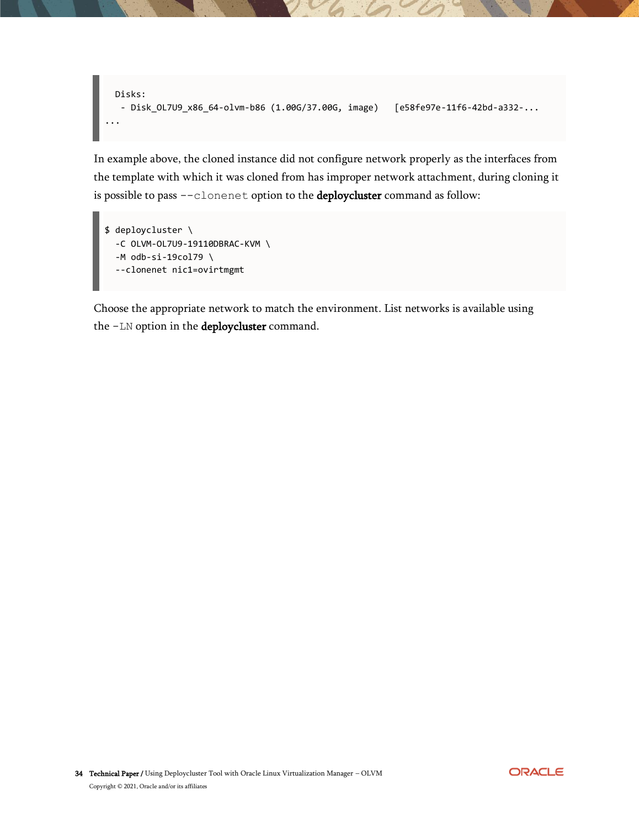```
 Disks: 
    - Disk_OL7U9_x86_64-olvm-b86 (1.00G/37.00G, image) [e58fe97e-11f6-42bd-a332-...
...
```
In example above, the cloned instance did not configure network properly as the interfaces from the template with which it was cloned from has improper network attachment, during cloning it is possible to pass --clonenet option to the deploycluster command as follow:

```
$ deploycluster \
   -C OLVM-OL7U9-19110DBRAC-KVM \
   -M odb-si-19col79 \
   --clonenet nic1=ovirtmgmt
```
Choose the appropriate network to match the environment. List networks is available using the -LN option in the deploycluster command.